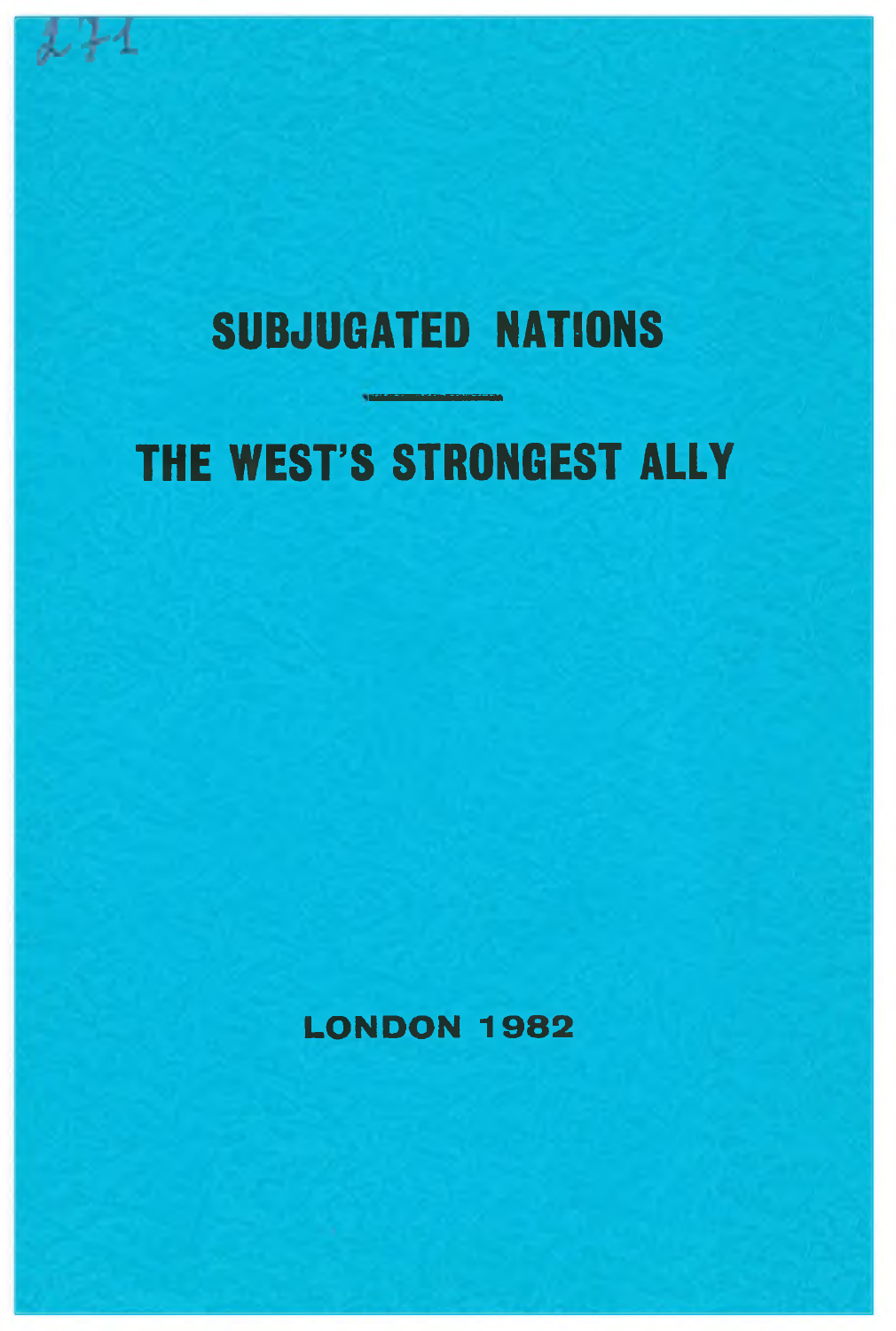# SUBJUGATED NATIONS

*JLH*

# THE WEST'S STRONGEST ALLY

**LONDON 1982**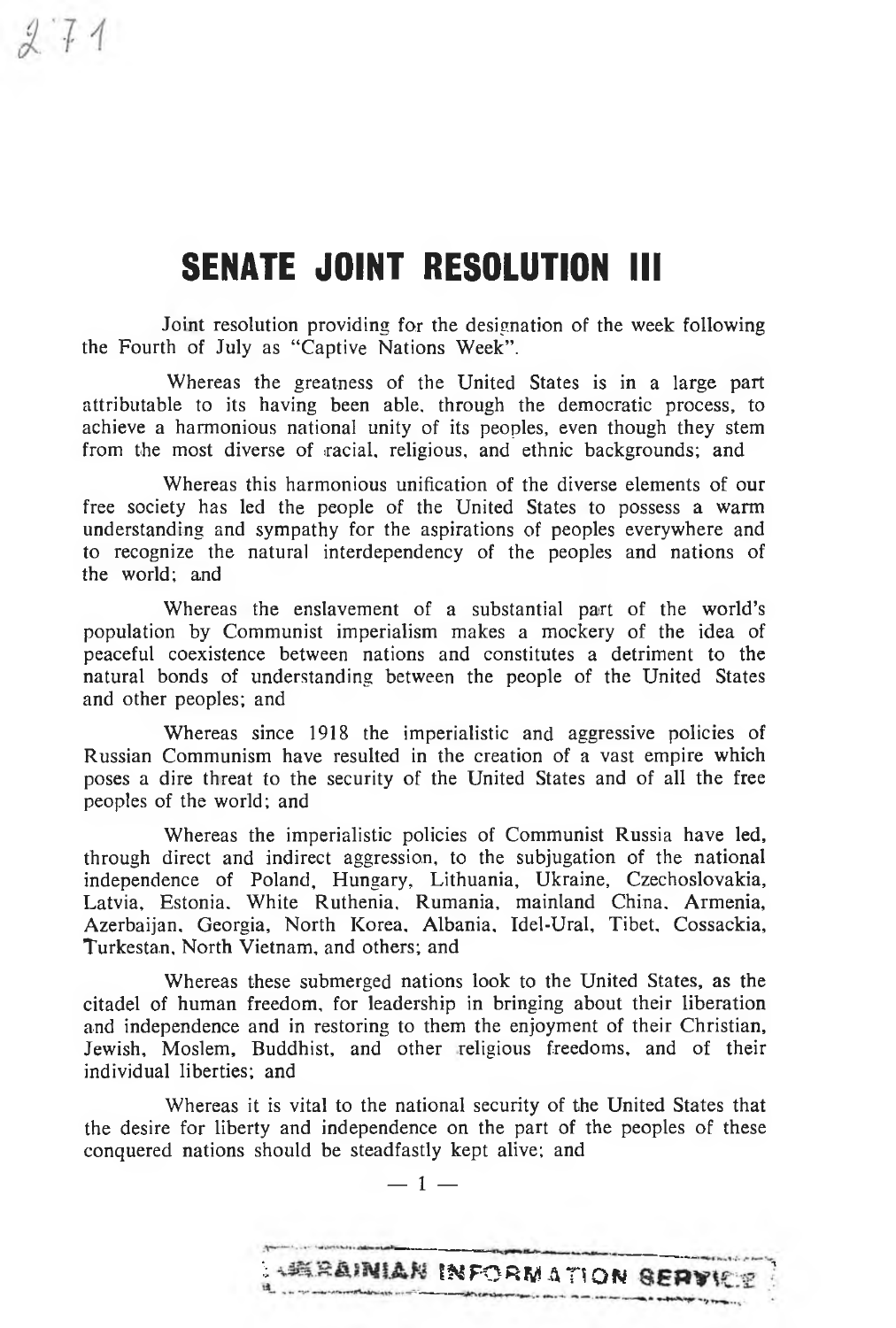### $2 + 1$

### SENATE JOINT RESOLUTION III

Joint resolution providing for the designation of the week following the Fourth of July as "Captive Nations Week".

Whereas the greatness of the United States is in a large part attributable to its having been able, through the democratic process, to achieve a harmonious national unity of its peoples, even though they stem from the most diverse of racial, religious, and ethnic backgrounds; and

Whereas this harmonious unification of the diverse elements of our free society has led the people of the United States to possess a warm understanding and sympathy for the aspirations of peoples everywhere and to recognize the natural interdependency of the peoples and nations of the world; and

Whereas the enslavement of a substantial part of the world's population by Communist imperialism makes a mockery of the idea of peaceful coexistence between nations and constitutes a detriment to the natural bonds of understanding between the people of the United States and other peoples; and

Whereas since 1918 the imperialistic and aggressive policies of Russian Communism have resulted in the creation of a vast empire which poses a dire threat to the security of the United States and of all the free peoples of the world; and

Whereas the imperialistic policies of Communist Russia have led, through direct and indirect aggression, to the subjugation of the national independence of Poland, Hungary, Lithuania, Ukraine, Czechoslovakia, Latvia, Estonia. White Ruthenia, Rumania, mainland China, Armenia, Azerbaijan, Georgia, North Korea, Albania, Idel-Ural, Tibet, Cossackia, Turkestan. North Vietnam, and others; and

Whereas these submerged nations look to the United States, as the citadel of human freedom, for leadership in bringing about their liberation and independence and in restoring to them the enjoyment of their Christian, Jewish, Moslem, Buddhist, and other religious freedoms, and of their individual liberties; and

Whereas it is vital to the national security of the United States that the desire for liberty and independence on the part of the peoples of these conquered nations should be steadfastly kept alive; and

 $-1 -$ 

**INFORMATION SERVICE**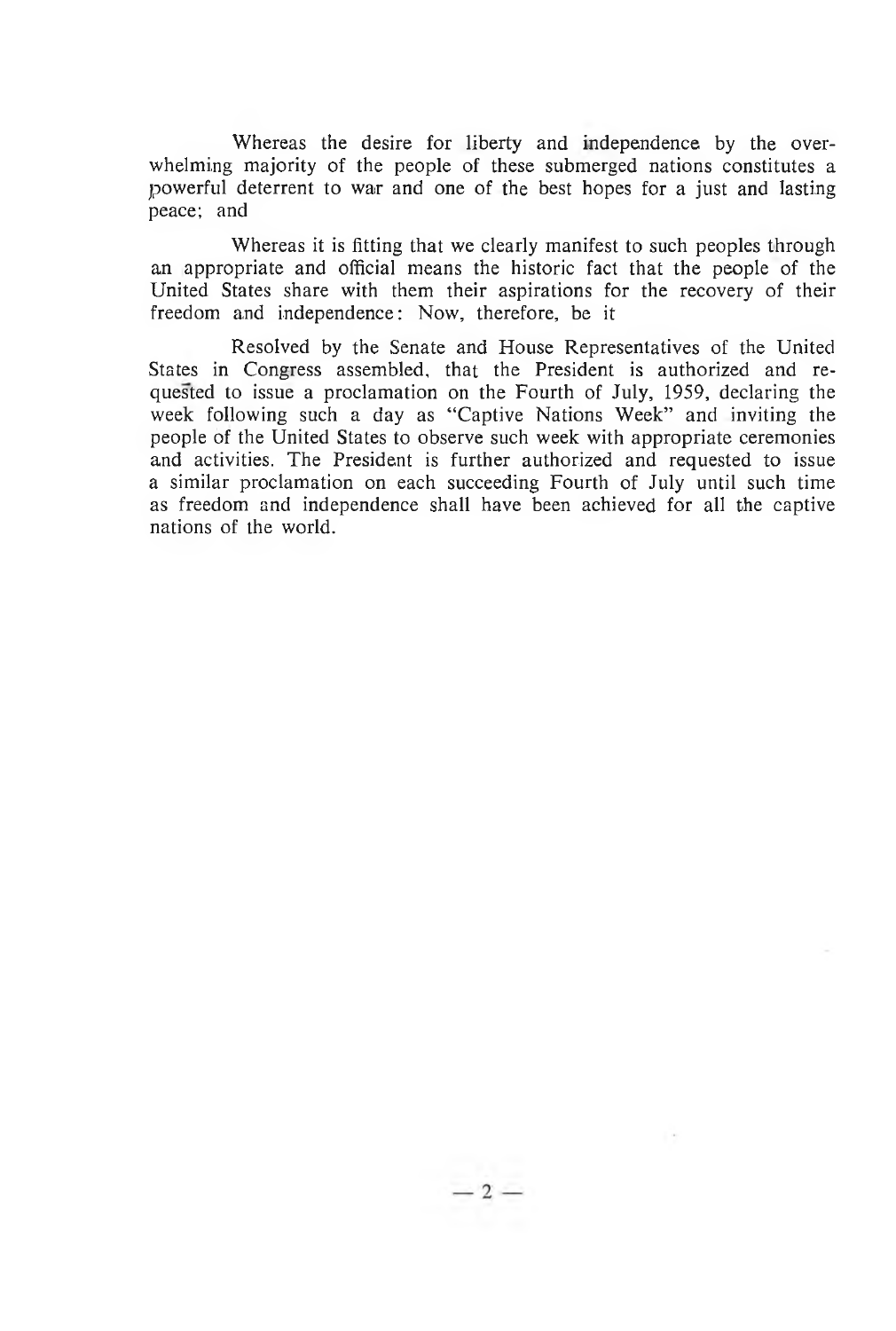Whereas the desire for liberty and independence by the overwhelming majority of the people of these submerged nations constitutes a powerful deterrent to war and one of the best hopes for a just and lasting peace; and

Whereas it is fitting that we clearly manifest to such peoples through an appropriate and official means the historic fact that the people of the United States share with them their aspirations for the recovery of their freedom and independence: Now, therefore, be it

Resolved by the Senate and House Representatives of the United States in Congress assembled, that the President is authorized and requested to issue a proclamation on the Fourth of July, 1959, declaring the week following such a day as "Captive Nations Week" and inviting the people of the United States to observe such week with appropriate ceremonies and activities. The President is further authorized and requested to issue a similar proclamation on each succeeding Fourth of July until such time as freedom and independence shall have been achieved for all the captive nations of the world.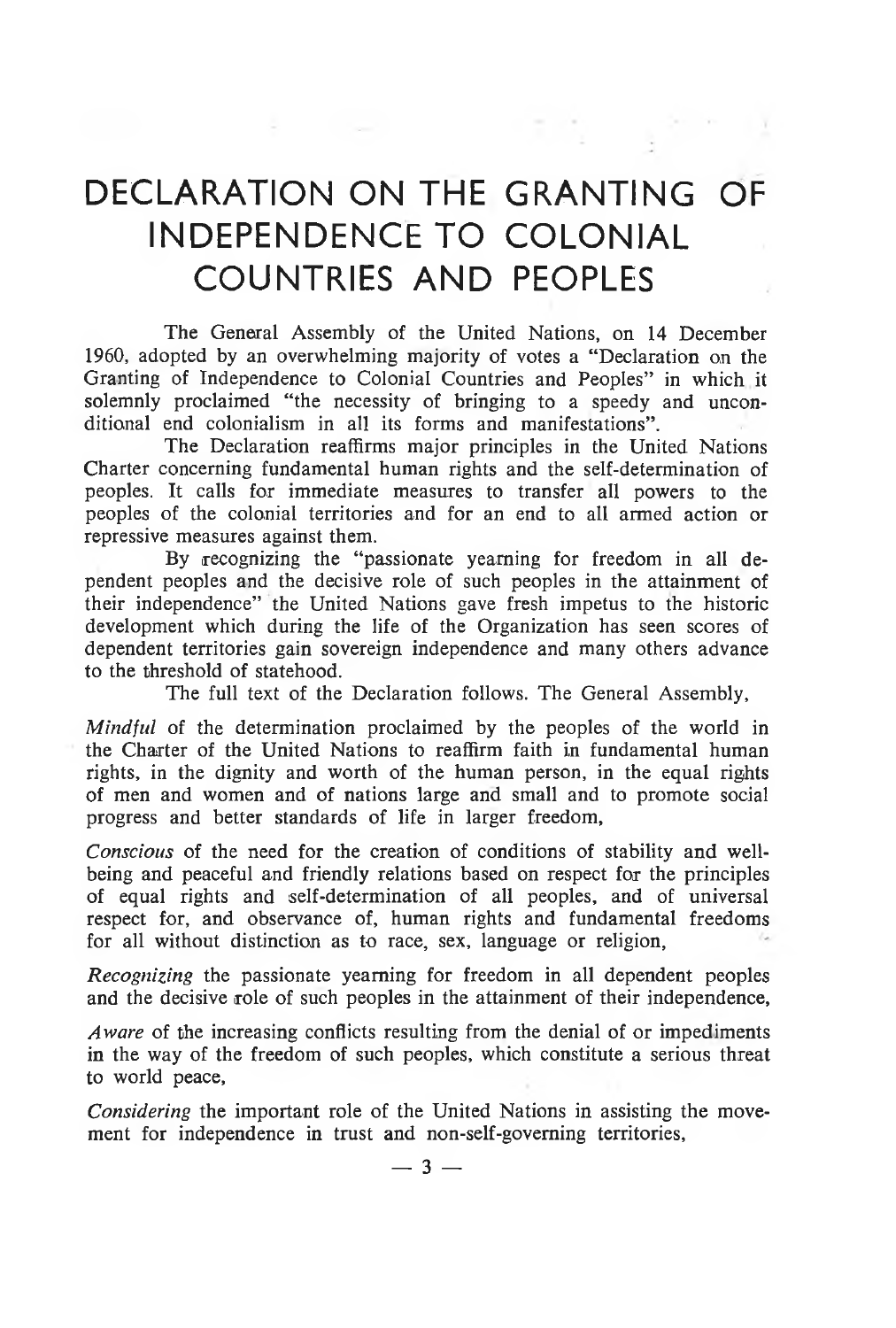## DECLARATION ON THE GRANTING OF INDEPENDENCE TO COLONIAL COUNTRIES AND PEOPLES

The General Assembly of the United Nations, on 14 December 1960, adopted by an overwhelming majority of votes a "Declaration on the Granting of Independence to Colonial Countries and Peoples" in which it solemnly proclaimed "the necessity of bringing to a speedy and unconditional end colonialism in all its forms and manifestations".

The Declaration reaffirms major principles in the United Nations Charter concerning fundamental human rights and the self-determination of peoples. It calls for immediate measures to transfer all powers to the peoples of the colonial territories and for an end to all armed action or repressive measures against them.

By recognizing the "passionate yearning for freedom in all dependent peoples and the decisive role of such peoples in the attainment of their independence" the United Nations gave fresh impetus to the historic development which during the life of the Organization has seen scores of dependent territories gain sovereign independence and many others advance to the threshold of statehood.

The full text of the Declaration follows. The General Assembly,

*Mindful* of the determination proclaimed by the peoples of the world in the Charter of the United Nations to reaffirm faith in fundamental human rights, in the dignity and worth of the human person, in the equal rights of men and women and of nations large and small and to promote social progress and better standards of life in larger freedom,

*Conscious* of the need for the creation of conditions of stability and wellbeing and peaceful and friendly relations based on respect for the principles of equal rights and self-determination of all peoples, and of universal respect for, and observance of, human rights and fundamental freedoms for all without distinction as to race, sex, language or religion,

*Recognizing* the passionate yearning for freedom in all dependent peoples and the decisive role of such peoples in the attainment of their independence,

*Aware* of the increasing conflicts resulting from the denial of or impediments in the way of the freedom of such peoples, which constitute a serious threat to world peace,

*Considering* the important role of the United Nations in assisting the movement for independence in trust and non-self-goveming territories,

 $-3-$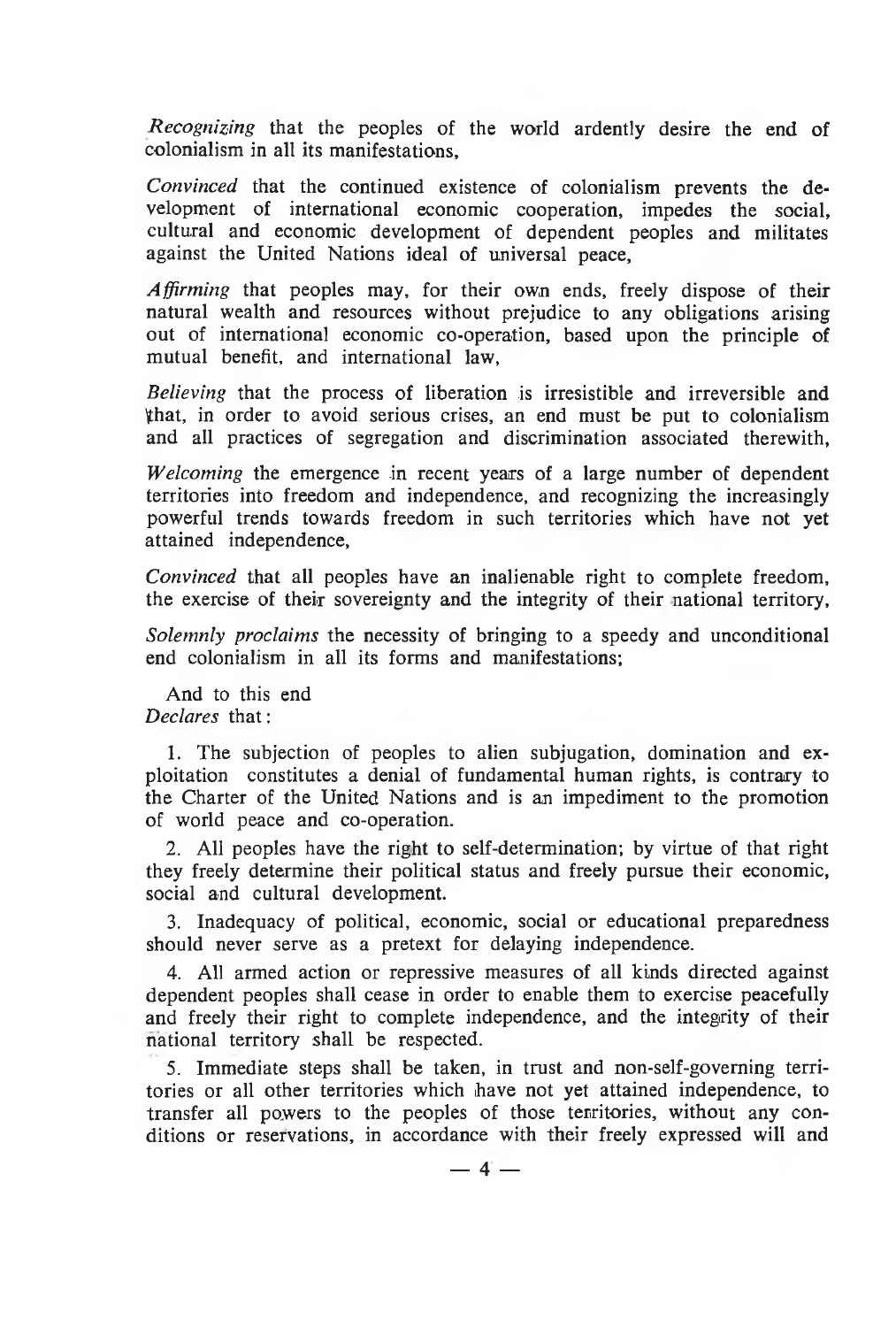*Recognizing* that the peoples of the world ardently desire the end of colonialism in all its manifestations,

*Convinced* that the continued existence of colonialism prevents the development of international economic cooperation, impedes the social, cultural and economic development of dependent peoples and militates against the United Nations ideal of universal peace,

*Affirming* that peoples may, for their own ends, freely dispose of their natural wealth and resources without prejudice to any obligations arising out of international economic co-operation, based upon the principle of mutual benefit, and international law,

*Believing* that the process of liberation is irresistible and irreversible and jthat, in order to avoid serious crises, an end must be put to colonialism and all practices of segregation and discrimination associated therewith,

*Welcoming* the emergence in recent years of a large number of dependent territories into freedom and independence, and recognizing the increasingly powerful trends towards freedom in such territories which have not yet attained independence,

*Convinced* that all peoples have an inalienable right to complete freedom, the exercise of their sovereignty and the integrity of their national territory,

*Solemnly proclaims* the necessity of bringing to a speedy and unconditional end colonialism in all its forms and manifestations;

And to this end *Declares* that:

1. The subjection of peoples to alien subjugation, domination and exploitation constitutes a denial of fundamental human rights, is contrary to the Charter of the United Nations and is an impediment to the promotion of world peace and co-operation.

2. All peoples have the right to self-determination; by virtue of that right they freely determine their political status and freely pursue their economic, social and cultural development.

3. Inadequacy of political, economic, social or educational preparedness should never serve as a pretext for delaying independence.

4. All armed action or repressive measures of all kinds directed against dependent peoples shall cease in order to enable them to exercise peacefully and freely their right to complete independence, and the integrity of their national territory shall be respected.

5. Immediate steps shall be taken, in trust and non-self-governing territories or all other territories which have not yet attained independence, to transfer all powers to the peoples of those territories, without any conditions or reservations, in accordance with their freely expressed will and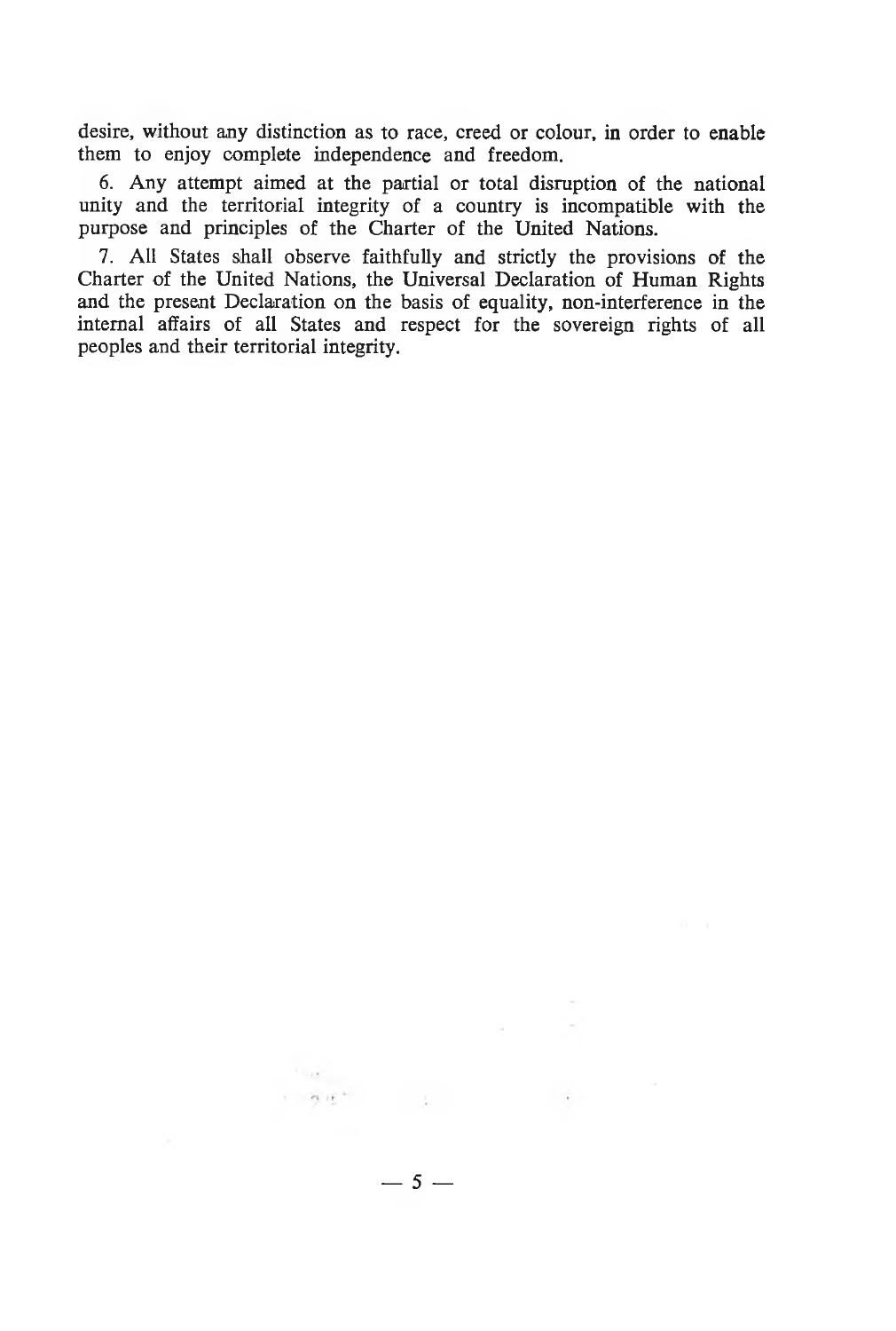desire, without any distinction as to race, creed or colour, in order to enable them to enjoy complete independence and freedom.

6. Any attempt aimed at the partial or total disruption of the national unity and the territorial integrity of a country is incompatible with the purpose and principles of the Charter of the United Nations.

7. All States shall observe faithfully and strictly the provisions of the Charter of the United Nations, the Universal Declaration of Human Rights and the present Declaration on the basis of equality, non-interference in the internal affairs of all States and respect for the sovereign rights of all peoples and their territorial integrity.

 $-5-$ 

 $-24.16<sup>-1</sup>$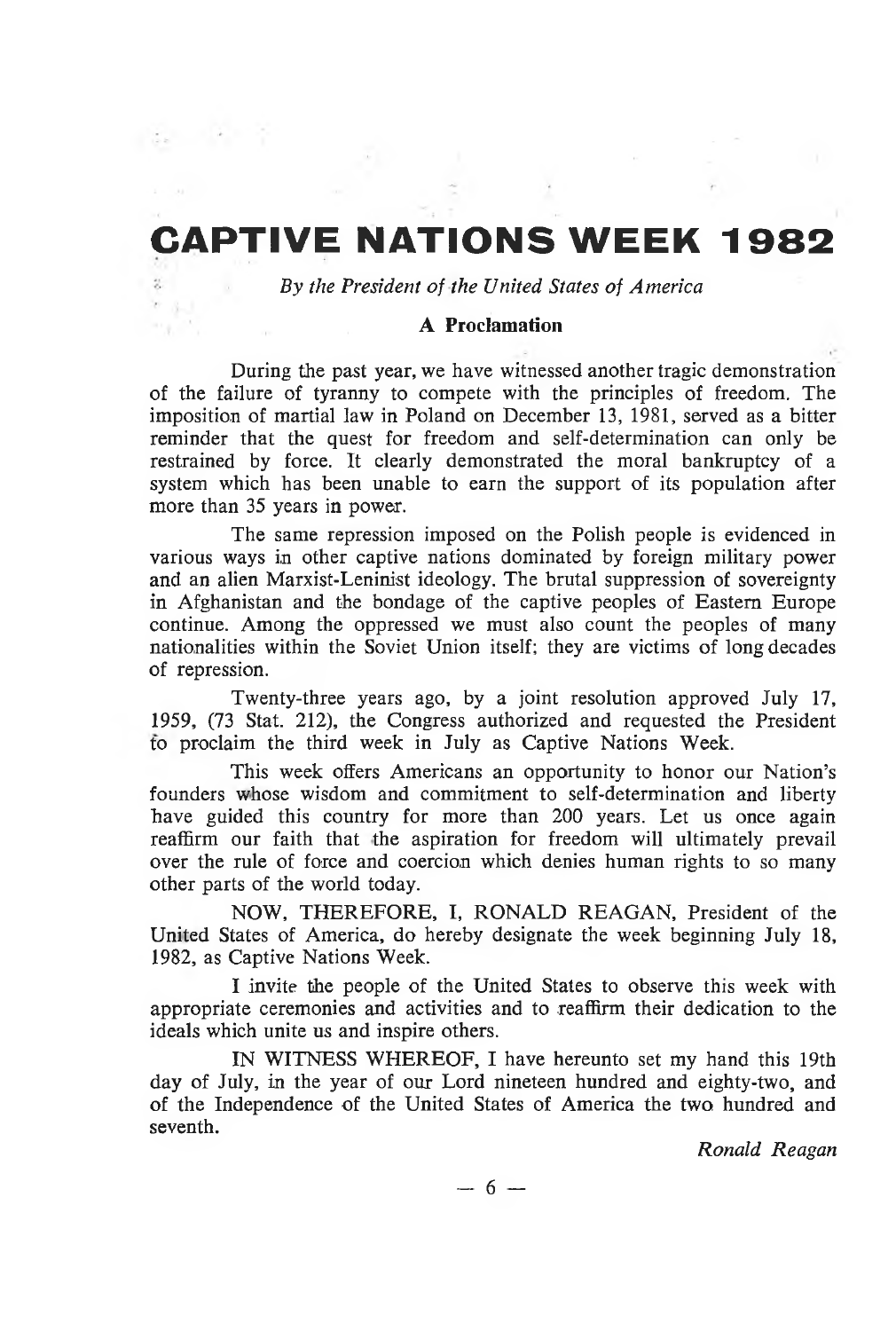### **CAPTIVE NATIONS WEEK 1982**

 $\frac{1}{2}$   $\frac{1}{2}$ 

 $\mathcal{Z}$ 

*By the President of the United States of America*

#### **A Proclamation**

During the past year, we have witnessed another tragic demonstration of the failure of tyranny to compete with the principles of freedom. The imposition of martial law in Poland on December 13, 1981, served as a bitter reminder that the quest for freedom and self-determination can only be restrained by force. It clearly demonstrated the moral bankruptcy of a system which has been unable to earn the support of its population after more than 35 years in power.

The same repression imposed on the Polish people is evidenced in various ways in other captive nations dominated by foreign military power and an alien Marxist-Leninist ideology. The brutal suppression of sovereignty in Afghanistan and the bondage of the captive peoples of Eastern Europe continue. Among the oppressed we must also count the peoples of many nationalities within the Soviet Union itself; they are victims of long decades of repression.

Twenty-three years ago, by a joint resolution approved July 17, 1959, (73 Stat. 212), the Congress authorized and requested the President to proclaim the third week in July as Captive Nations Week.

This week offers Americans an opportunity to honor our Nation's founders whose wisdom and commitment to self-determination and liberty have guided this country for more than 200 years. Let us once again reaffirm our faith that the aspiration for freedom will ultimately prevail over the rule of force and coercion which denies human rights to so many other parts of the world today.

NOW, THEREFORE, I, RONALD REAGAN, President of the United States of America, do hereby designate the week beginning July 18, 1982, as Captive Nations Week.

I invite the people of the United States to observe this week with appropriate ceremonies and activities and to reaffirm their dedication to the ideals which unite us and inspire others.

IN WITNESS WHEREOF, I have hereunto set my hand this 19th day of July, in the year of our Lord nineteen hundred and eighty-two, and of the Independence of the United States of America the two hundred and seventh.

*Ronald Reagan*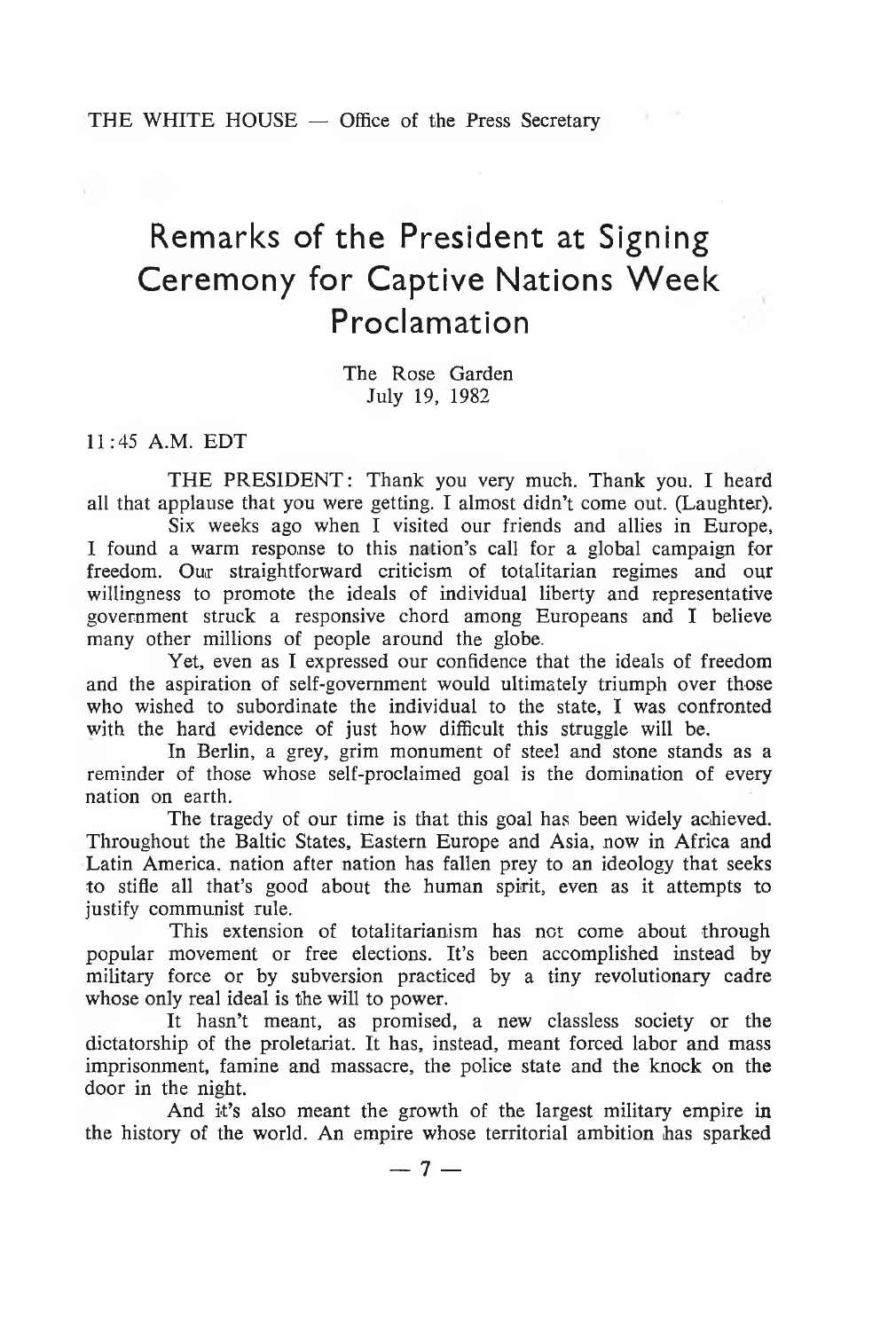## Remarks of the President at Signing Ceremony for Captive Nations Week Proclamation

The Rose Garden July 19, 1982

11:45 A.M. EDT

THE PRESIDENT: Thank you very much. Thank you. I heard all that applause that you were getting. I almost didn't come out. (Laughter).

Six weeks ago when I visited our friends and allies in Europe, I found a warm response to this nation's call for a global campaign for freedom. Our straightforward criticism of totalitarian regimes and our willingness to promote the ideals of individual liberty and representative government struck a responsive chord among Europeans and I believe many other millions of people around the globe.

Yet, even as I expressed our confidence that the ideals of freedom and the aspiration of self-government would ultimately triumph over those who wished to subordinate the individual to the state, I was confronted with the hard evidence of just how difficult this struggle will be.

In Berlin, a grey, grim monument of steel and stone stands as a reminder of those whose self-proclaimed goal is the domination of every nation on earth.

The tragedy of our time is that this goal has been widely achieved. Throughout the Baltic States, Eastern Europe and Asia, now in Africa and Latin America, nation after nation has fallen prey to an ideology that seeks to stifle all that's good about the human spirit, even as it attempts to justify communist rule.

This extension of totalitarianism has not come about through popular movement or free elections. It's been accomplished instead by military force or by subversion practiced by a tiny revolutionary cadre whose only real ideal is the will to power.

It hasn't meant, as promised, a new classless society or the dictatorship of the proletariat. It has, instead, meant forced labor and mass imprisonment, famine and massacre, the police state and the knock on the door in the night.

And it's also meant the growth of the largest military empire in the history of the world. An empire whose territorial ambition has sparked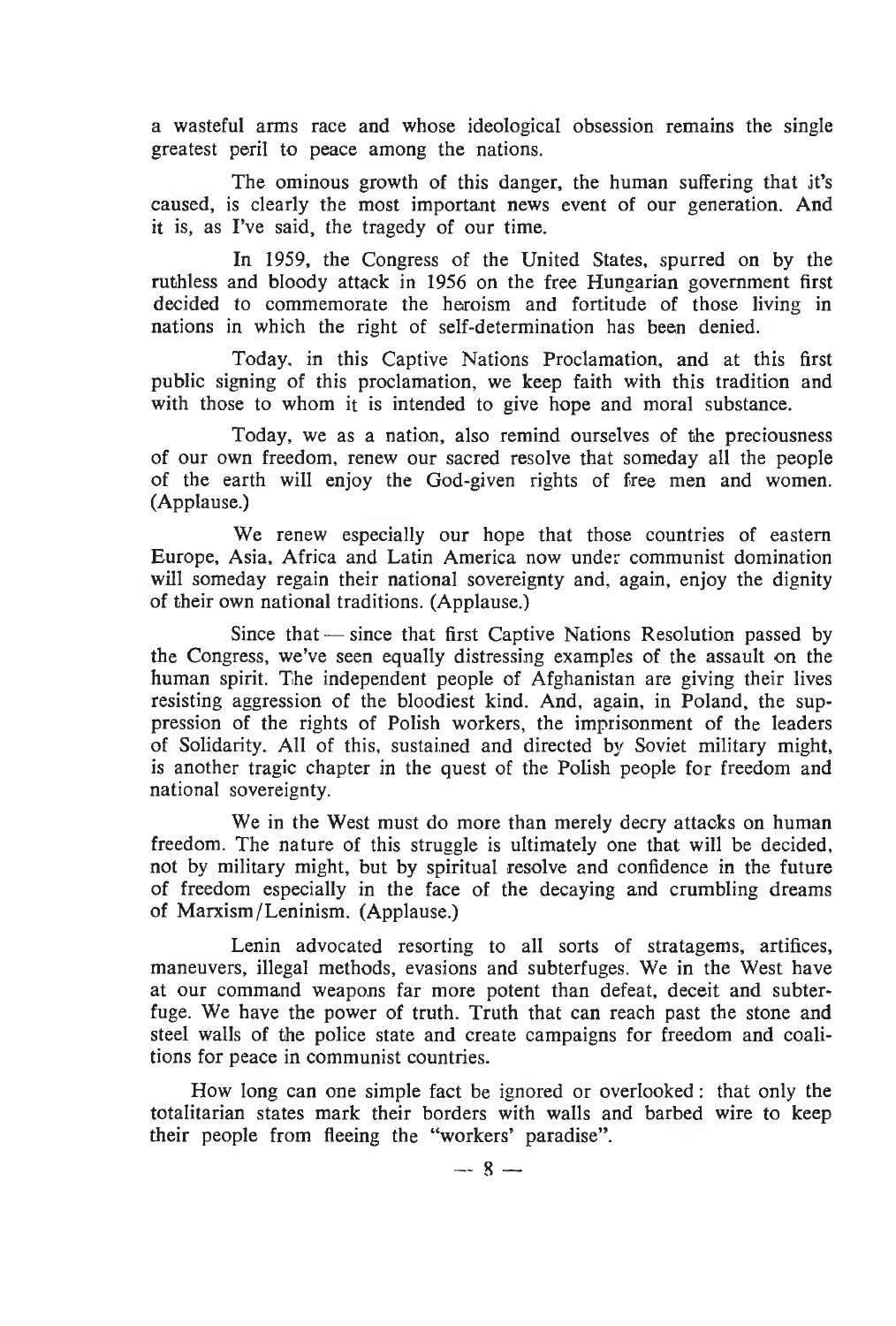a wasteful arms race and whose ideological obsession remains the single greatest peril to peace among the nations.

The ominous growth of this danger, the human suffering that it's caused, is clearly the most important news event of our generation. And it is, as I've said, the tragedy of our time.

In 1959, the Congress of the United States, spurred on by the ruthless and bloody attack in 1956 on the free Hungarian government first decided to commemorate the heroism and fortitude of those living in nations in which the right of self-determination has been denied.

Today, in this Captive Nations Proclamation, and at this first public signing of this proclamation, we keep faith with this tradition and with those to whom it is intended to give hope and moral substance.

Today, we as a nation, also remind ourselves of the preciousness of our own freedom, renew our sacred resolve that someday all the people of the earth will enjoy the God-given rights of free men and women. (Applause.)

We renew especially our hope that those countries of eastern Europe, Asia, Africa and Latin America now under communist domination will someday regain their national sovereignty and, again, enjoy the dignity of their own national traditions. (Applause.)

Since that — since that first Captive Nations Resolution passed by the Congress, we've seen equally distressing examples of the assault on the human spirit. The independent people of Afghanistan are giving their lives resisting aggression of the bloodiest kind. And, again, in Poland, the suppression of the rights of Polish workers, the imprisonment of the leaders of Solidarity. All of this, sustained and directed by Soviet military might, is another tragic chapter in the quest of the Polish people for freedom and national sovereignty.

We in the West must do more than merely decry attacks on human freedom. The nature of this struggle is ultimately one that will be decided, not by military might, but by spiritual resolve and confidence in the future of freedom especially in the face of the decaying and crumbling dreams of Marxism/Leninism. (Applause.)

Lenin advocated resorting to all sorts of stratagems, artifices, maneuvers, illegal methods, evasions and subterfuges. We in the West have at our command weapons far more potent than defeat, deceit and subterfuge. We have the power of truth. Truth that can reach past the stone and steel walls of the police state and create campaigns for freedom and coalitions for peace in communist countries.

How long can one simple fact be ignored or overlooked: that only the totalitarian states mark their borders with walls and barbed wire to keep their people from fleeing the "workers' paradise".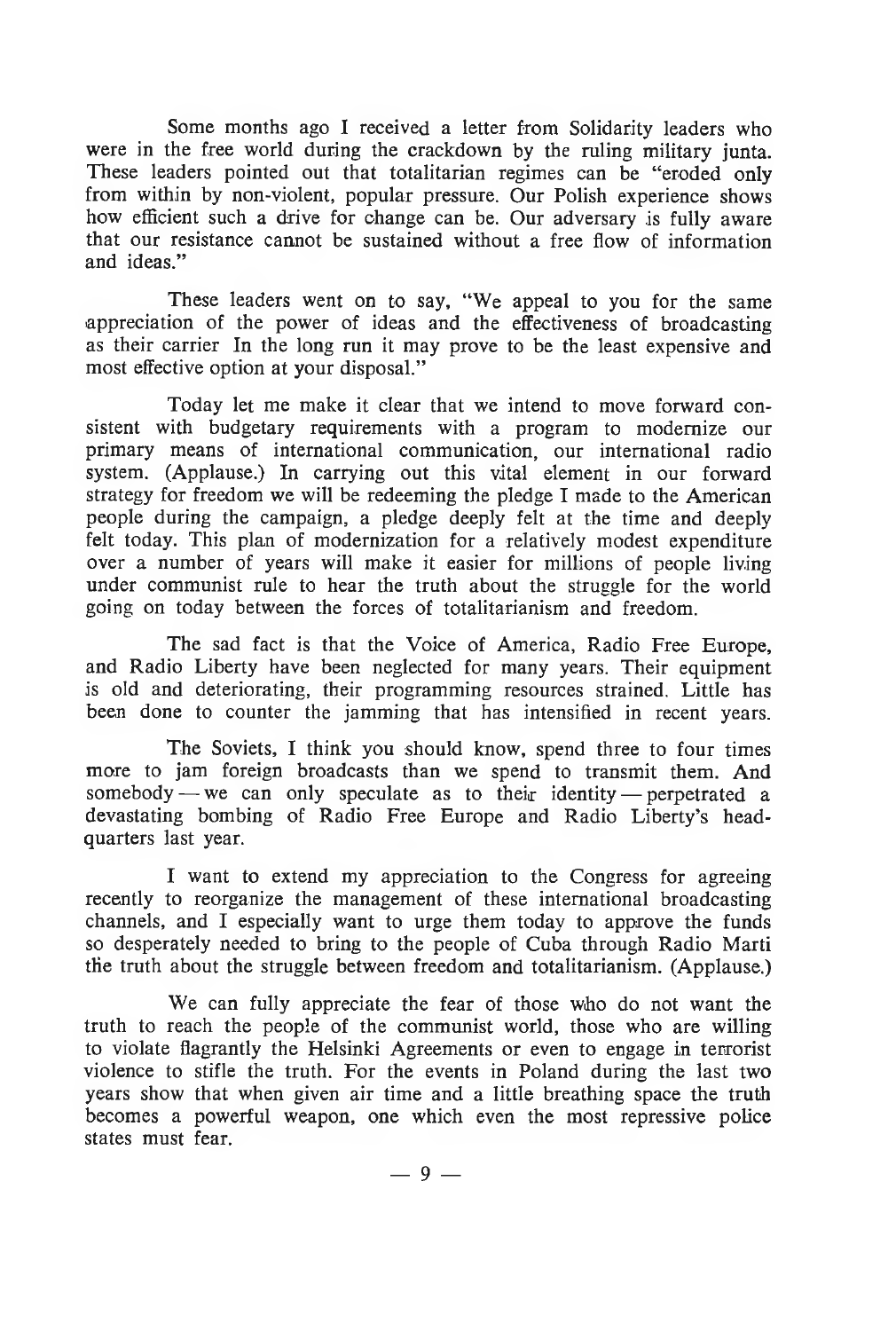Some months ago I received a letter from Solidarity leaders who were in the free world during the crackdown by the ruling military junta. These leaders pointed out that totalitarian regimes can be "eroded only from within by non-violent, popular pressure. Our Polish experience shows how efficient such a drive for change can be. Our adversary is fully aware that our resistance cannot be sustained without a free flow of information and ideas."

These leaders went on to say, "We appeal to you for the same appreciation of the power of ideas and the effectiveness of broadcasting as their carrier In the long run it may prove to be the least expensive and most effective option at your disposal."

Today let me make it clear that we intend to move forward consistent with budgetary requirements with a program to modernize our primary means of international communication, our international radio system. (Applause.) In carrying out this vital element in our forward strategy for freedom we will be redeeming the pledge I made to the American people during the campaign, a pledge deeply felt at the time and deeply felt today. This plan of modernization for a relatively modest expenditure over a number of years will make it easier for millions of people living under communist rule to hear the truth about the struggle for the world going on today between the forces of totalitarianism and freedom.

The sad fact is that the Voice of America, Radio Free Europe, and Radio Liberty have been neglected for many years. Their equipment is old and deteriorating, their programming resources strained. Little has been done to counter the jamming that has intensified in recent years.

The Soviets, I think you should know, spend three to four times more to jam foreign broadcasts than we spend to transmit them. And somebody — we can only speculate as to their identity — perpetrated a devastating bombing of Radio Free Europe and Radio Liberty's headquarters last year.

I want to extend my appreciation to the Congress for agreeing recently to reorganize the management of these international broadcasting channels, and I especially want to urge them today to approve the funds so desperately needed to bring to the people of Cuba through Radio Marti the truth about the struggle between freedom and totalitarianism. (Applause.)

We can fully appreciate the fear of those who do not want the truth to reach the people of the communist world, those who are willing to violate flagrantly the Helsinki Agreements or even to engage in terrorist violence to stifle the truth. For the events in Poland during the last two years show that when given air time and a little breathing space the truth becomes a powerful weapon, one which even the most repressive police states must fear.

— 9 —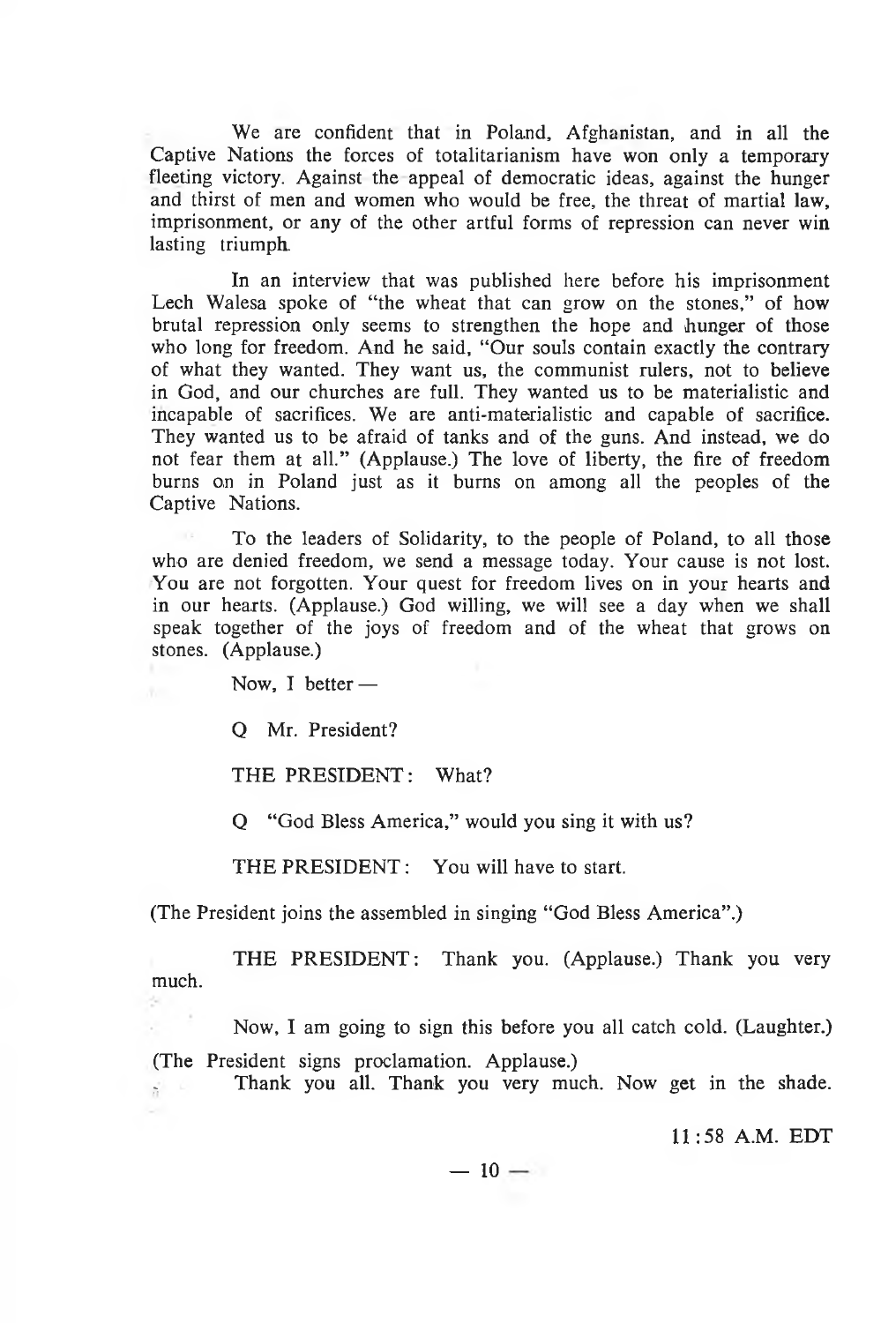We are confident that in Poland, Afghanistan, and in all the Captive Nations the forces of totalitarianism have won only a temporary fleeting victory. Against the appeal of democratic ideas, against the hunger and thirst of men and women who would be free, the threat of martial law, imprisonment, or any of the other artful forms of repression can never win lasting triumph.

In an interview that was published here before his imprisonment Lech Walesa spoke of "the wheat that can grow on the stones," of how brutal repression only seems to strengthen the hope and hunger of those who long for freedom. And he said, "Our souls contain exactly the contrary of what they wanted. They want us, the communist rulers, not to believe in God, and our churches are full. They wanted us to be materialistic and incapable of sacrifices. We are anti-materialistic and capable of sacrifice. They wanted us to be afraid of tanks and of the guns. And instead, we do not fear them at all." (Applause.) The love of liberty, the fire of freedom burns on in Poland just as it bums on among all the peoples of the Captive Nations.

To the leaders of Solidarity, to the people of Poland, to all those who are denied freedom, we send a message today. Your cause is not lost. You are not forgotten. Your quest for freedom lives on in your hearts and in our hearts. (Applause.) God willing, we will see a day when we shall speak together of the joys of freedom and of the wheat that grows on stones. (Applause.)

Now, I better —

Q Mr. President?

THE PRESIDENT: What?

Q "God Bless America," would you sing it with us?

THE PRESIDENT: You will have to start.

(The President joins the assembled in singing "God Bless America".)

THE PRESIDENT: Thank you. (Applause.) Thank you very much.

Now, I am going to sign this before you all catch cold. (Laughter.) (The President signs proclamation. Applause.)

, Thank you all. Thank you very much. Now get in the shade.

11:58 A.M. EDT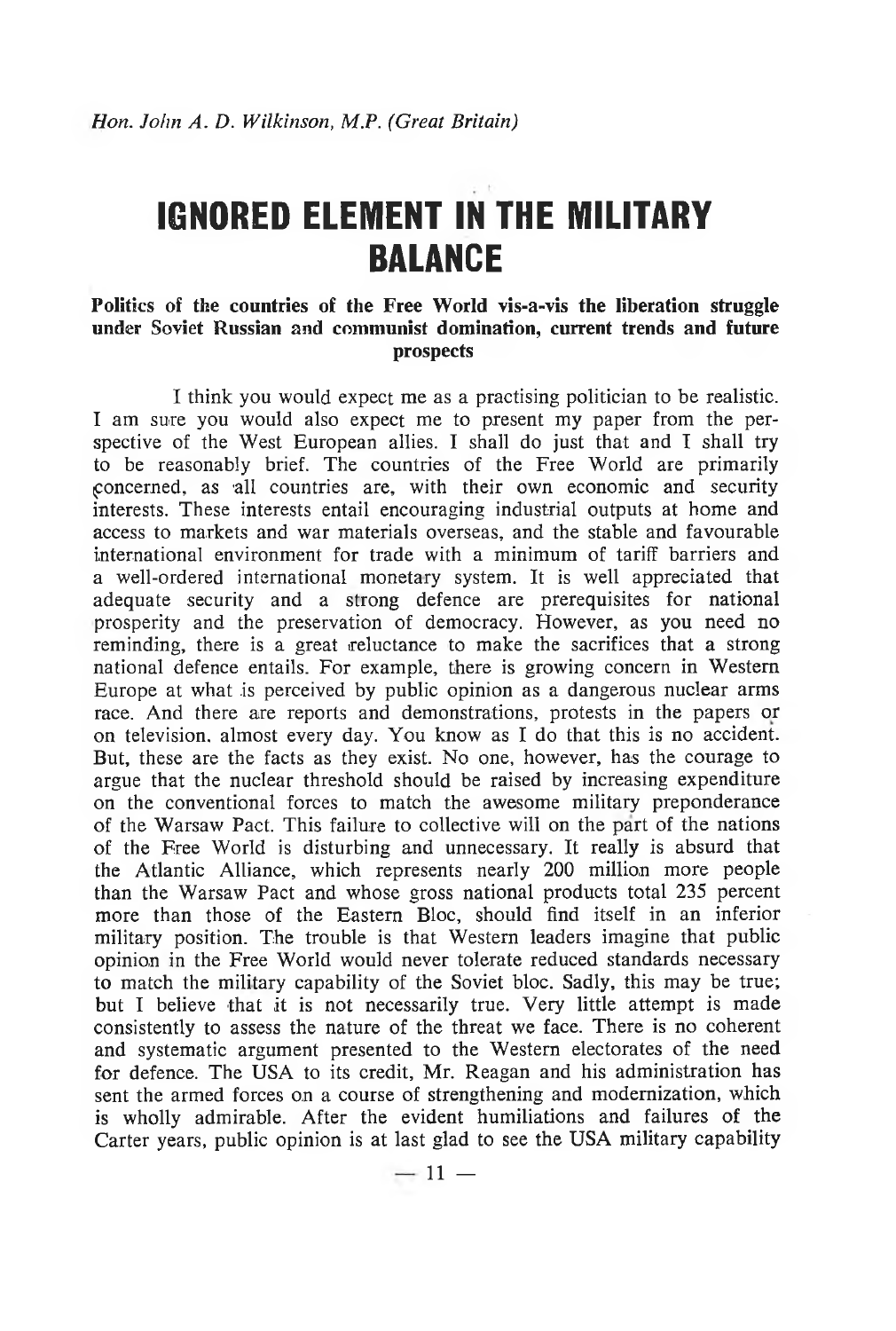# IGNORED ELEMENT IN THE MILITARY **BALANCE**

#### **Politics of the countries of the Free World vis-a-vis the liberation struggle under Soviet Russian** and **communist domination, current trends and future prospects**

I think you would expect me as a practising politician to be realistic. I am sure you would also expect me to present my paper from the perspective of the West European allies. I shall do just that and I shall try to be reasonably brief. The countries of the Free World are primarily concerned, as 'all countries are, with their own economic and security interests. These interests entail encouraging industrial outputs at home and access to markets and war materials overseas, and the stable and favourable international environment for trade with a minimum of tariff barriers and a well-ordered international monetary system. It is well appreciated that adequate security and a strong defence are prerequisites for national prosperity and the preservation of democracy. However, as you need no reminding, there is a great reluctance to make the sacrifices that a strong national defence entails. For example, there is growing concern in Western Europe at what is perceived by public opinion as a dangerous nuclear arms race. And there are reports and demonstrations, protests in the papers or on television, almost every day. You know as I do that this is no accident. But, these are the facts as they exist. No one, however, has the courage to argue that the nuclear threshold should be raised by increasing expenditure on the conventional forces to match the awesome military preponderance of the Warsaw Pact. This failure to collective will on the part of the nations of the Free World is disturbing and unnecessary. It really is absurd that the Atlantic Alliance, which represents nearly 200 million more people than the Warsaw Pact and whose gross national products total 235 percent more than those of the Eastern Bloc, should find itself in an inferior military position. The trouble is that Western leaders imagine that public opinion in the Free World would never tolerate reduced standards necessary to match the military capability of the Soviet bloc. Sadly, this may be true; but I believe that it is not necessarily true. Very little attempt is made consistently to assess the nature of the threat we face. There is no coherent and systematic argument presented to the Western electorates of the need for defence. The USA to its credit, Mr. Reagan and his administration has sent the armed forces on a course of strengthening and modernization, which is wholly admirable. After the evident humiliations and failures of the Carter years, public opinion is at last glad to see the USA military capability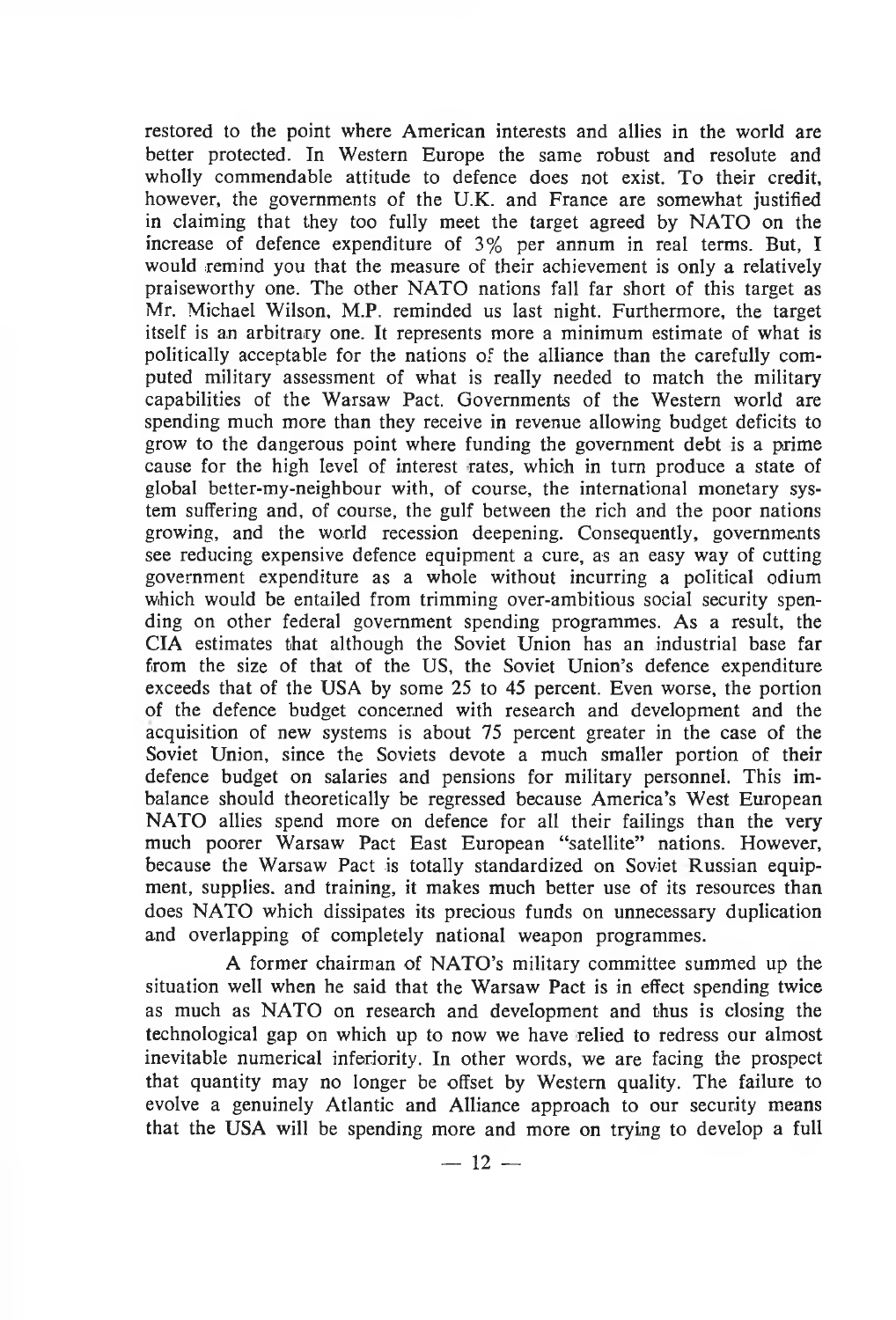restored to the point where American interests and allies in the world are better protected. In Western Europe the same robust and resolute and wholly commendable attitude to defence does not exist. To their credit, however, the governments of the U.K. and France are somewhat justified in claiming that they too fully meet the target agreed by NATO on the increase of defence expenditure of 3% per annum in real terms. But, I would remind you that the measure of their achievement is only a relatively praiseworthy one. The other NATO nations fall far short of this target as Mr. Michael Wilson, M.P. reminded us last night. Furthermore, the target itself is an arbitrary one. It represents more a minimum estimate of what is politically acceptable for the nations of the alliance than the carefully computed military assessment of what is really needed to match the military capabilities of the Warsaw Pact. Governments of the Western world are spending much more than they receive in revenue allowing budget deficits to grow to the dangerous point where funding the government debt is a prime cause for the high level of interest rates, which in turn produce a state of global better-my-neighbour with, of course, the international monetary system suffering and, of course, the gulf between the rich and the poor nations growing, and the world recession deepening. Consequently, governments see reducing expensive defence equipment a cure, as an easy way of cutting government expenditure as a whole without incurring a political odium which would be entailed from trimming over-ambitious social security spending on other federal government spending programmes. As a result, the CIA estimates that although the Soviet Union has an industrial base far from the size of that of the US, the Soviet Union's defence expenditure exceeds that of the USA by some 25 to 45 percent. Even worse, the portion of the defence budget concerned with research and development and the acquisition of new systems is about 75 percent greater in the case of the Soviet Union, since the Soviets devote a much smaller portion of their defence budget on salaries and pensions for military personnel. This imbalance should theoretically be regressed because America's West European NATO allies spend more on defence for all their failings than the very much poorer Warsaw Pact East European "satellite" nations. However, because the Warsaw Pact is totally standardized on Soviet Russian equipment, supplies, and training, it makes much better use of its resources than does NATO which dissipates its precious funds on unnecessary duplication and overlapping of completely national weapon programmes.

A former chairman of NATO's military committee summed up the situation well when he said that the Warsaw Pact is in effect spending twice as much as NATO on research and development and thus is closing the technological gap on which up to now we have relied to redress our almost inevitable numerical inferiority. In other words, we are facing the prospect that quantity may no longer be offset by Western quality. The failure to evolve a genuinely Atlantic and Alliance approach to our security means that the USA will be spending more and more on trying to develop a full

 $-12-$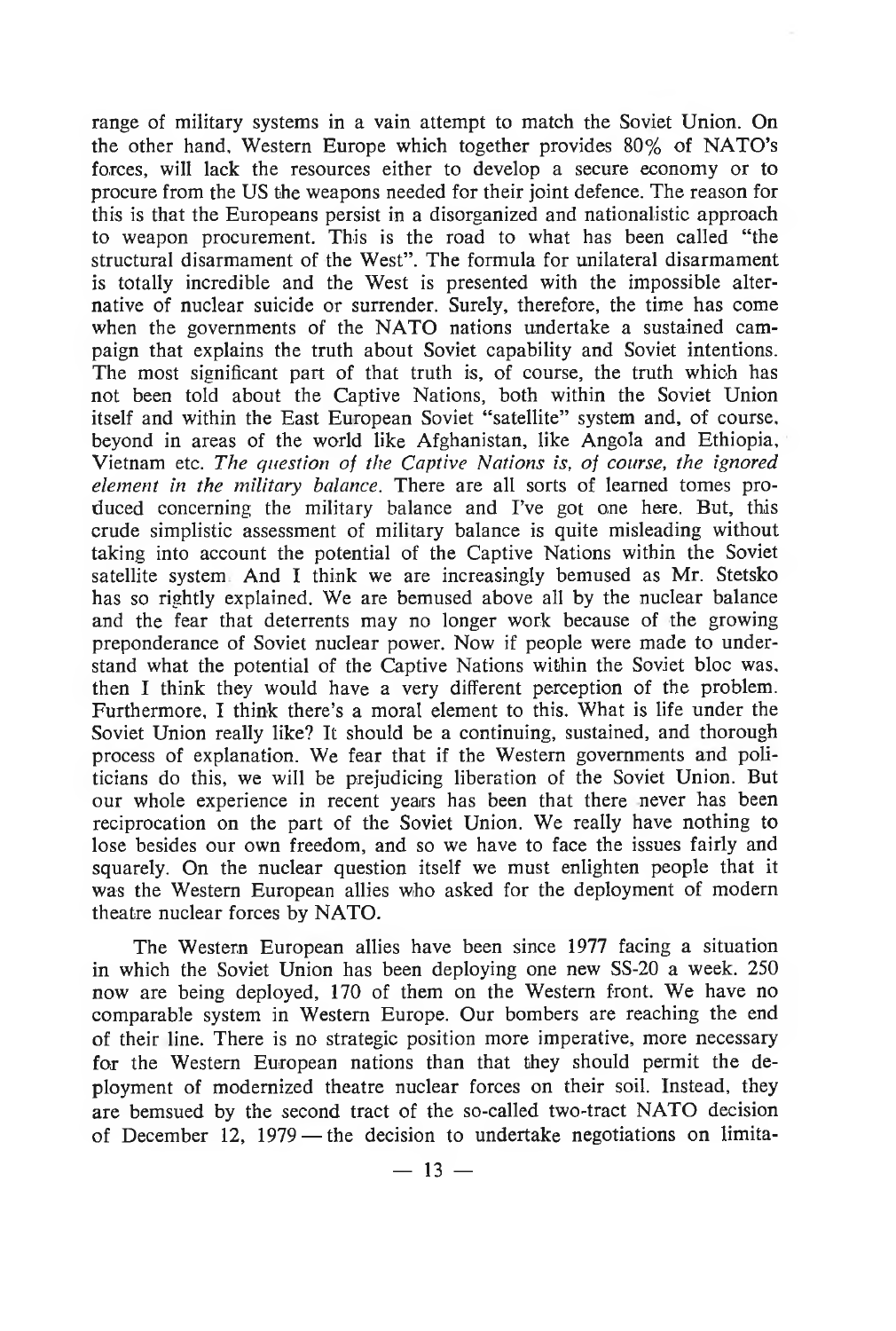range of military systems in a vain attempt to match the Soviet Union. On the other hand. Western Europe which together provides 80% of NATO's forces, will lack the resources either to develop a secure economy or to procure from the US the weapons needed for their joint defence. The reason for this is that the Europeans persist in a disorganized and nationalistic approach to weapon procurement. This is the road to what has been called "the structural disarmament of the West". The formula for unilateral disarmament is totally incredible and the West is presented with the impossible alternative of nuclear suicide or surrender. Surely, therefore, the time has come when the governments of the NATO nations undertake a sustained campaign that explains the truth about Soviet capability and Soviet intentions. The most significant part of that truth is, of course, the truth which has not been told about the Captive Nations, both within the Soviet Union itself and within the East European Soviet "satellite" system and, of course, beyond in areas of the world like Afghanistan, like Angola and Ethiopia, Vietnam etc. *The question of the Captive Nations is, of course, the ignored element in the military balance.* There are all sorts of learned tomes produced concerning the military balance and I've got one here. But, this crude simplistic assessment of military balance is quite misleading without taking into account the potential of the Captive Nations within the Soviet satellite system. And I think we are increasingly bemused as Mr. Stetsko has so rightly explained. We are bemused above all by the nuclear balance and the fear that deterrents may no longer work because of the growing preponderance of Soviet nuclear power. Now if people were made to understand what the potential of the Captive Nations within the Soviet bloc was. then I think they would have a very different perception of the problem. Furthermore, I think there's a moral element to this. What is life under the Soviet Union really like? It should be a continuing, sustained, and thorough process of explanation. We fear that if the Western governments and politicians do this, we will be prejudicing liberation of the Soviet Union. But our whole experience in recent years has been that there never has been reciprocation on the part of the Soviet Union. We really have nothing to lose besides our own freedom, and so we have to face the issues fairly and squarely. On the nuclear question itself we must enlighten people that it was the Western European allies who asked for the deployment of modern theatre nuclear forces by NATO.

The Western European allies have been since 1977 facing a situation in which the Soviet Union has been deploying one new SS-20 a week. 250 now are being deployed, 170 of them on the Western front. We have no comparable system in Western Europe. Our bombers are reaching the end of their line. There is no strategic position more imperative, more necessary fox the Western European nations than that they should permit the deployment of modernized theatre nuclear forces on their soil. Instead, they are bemsued by the second tract of the so-called two-tract NATO decision of December 12, 1979 — the decision to undertake negotiations on limita-

 $-13 -$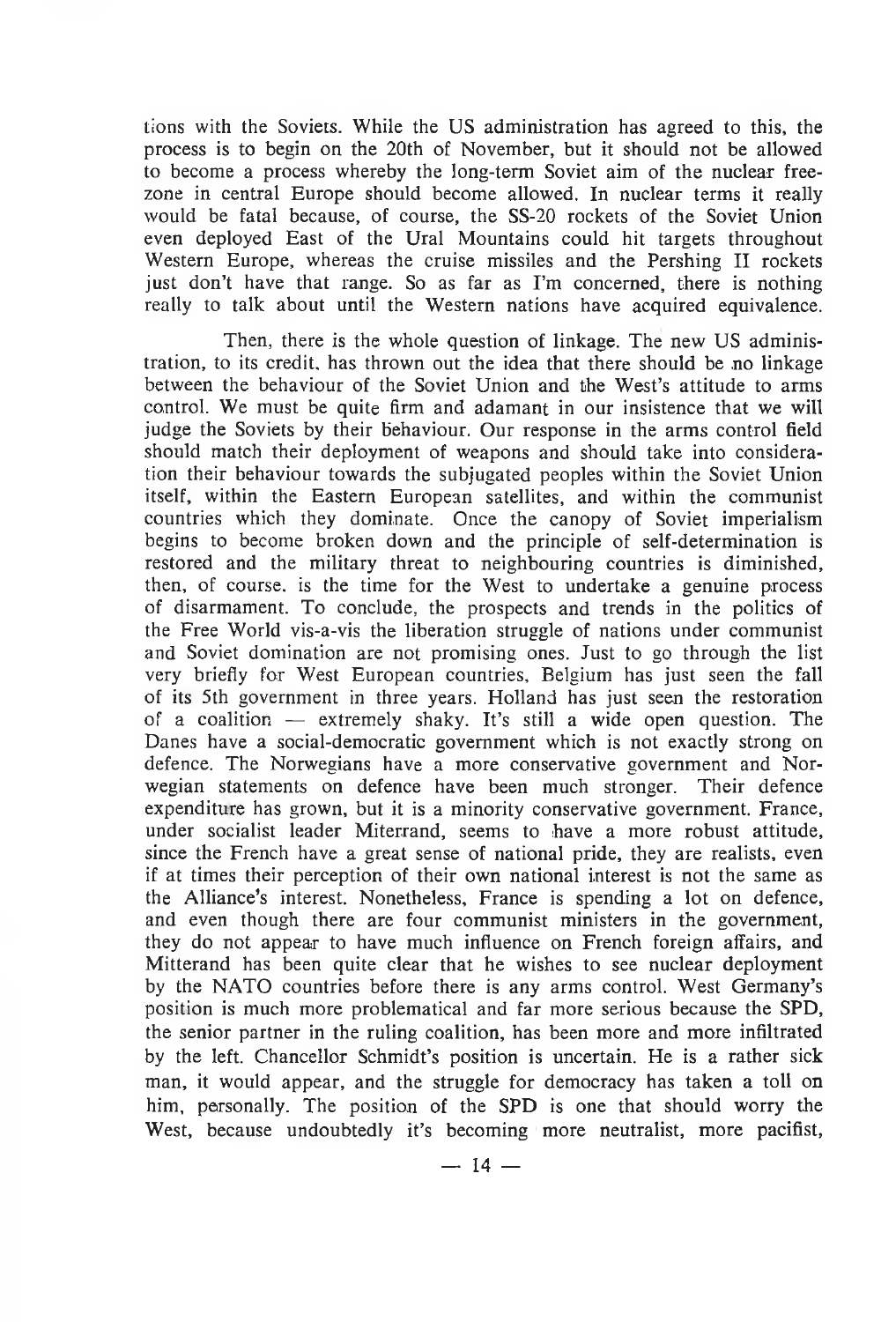lions with the Soviets. While the US administration has agreed to this, the process is to begin on the 20th of November, but it should not be allowed to become a process whereby the long-term Soviet aim of the nuclear freezone in central Europe should become allowed. In nuclear terms it really would be fatal because, of course, the SS-20 rockets of the Soviet Union even deployed East of the Ural Mountains could hit targets throughout Western Europe, whereas the cruise missiles and the Pershing II rockets just don't have that range. So as far as I'm concerned, there is nothing really to talk about until the Western nations have acquired equivalence.

Then, there is the whole question of linkage. The new US administration, to its credit, has thrown out the idea that there should be no linkage between the behaviour of the Soviet Union and the West's attitude to arms control. We must be quite firm and adamant in our insistence that we will judge the Soviets by their behaviour. Our response in the arms control field should match their deployment of weapons and should take into consideration their behaviour towards the subjugated peoples within the Soviet Union itself, within the Eastern European satellites, and within the communist countries which they dominate. Once the canopy of Soviet imperialism begins to become broken down and the principle of self-determination is restored and the military threat to neighbouring countries is diminished, then, of course, is the time for the West to undertake a genuine process of disarmament. To conclude, the prospects and trends in the politics of the Free World vis-a-vis the liberation struggle of nations under communist and Soviet domination are not promising ones. Just to go through the list very briefly for West European countries, Belgium has just seen the fall of its 5th government in three years. Holland has just seen the restoration of a coalition — extremely shaky. It's still a wide open question. The Danes have a social-democratic government which is not exactly strong on defence. The Norwegians have a more conservative government and Norwegian statements on defence have been much stronger. Their defence expenditure has grown, but it is a minority conservative government. France, under socialist leader Miterrand, seems to have a more robust attitude, since the French have a great sense of national pride, they are realists, even if at times their perception of their own national interest is not the same as the Alliance's interest. Nonetheless, France is spending a lot on defence, and even though there are four communist ministers in the government, they do not appear to have much influence on French foreign affairs, and Mitterand has been quite clear that he wishes to see nuclear deployment by the NATO countries before there is any arms control. West Germany's position is much more problematical and far more serious because the SPD, the senior partner in the ruling coalition, has been more and more infiltrated by the left. Chancellor Schmidt's position is uncertain. He is a rather sick man, it would appear, and the struggle for democracy has taken a toll on him, personally. The position of the SPD is one that should worry the West, because undoubtedly it's becoming more neutralist, more pacifist,

 $-14-$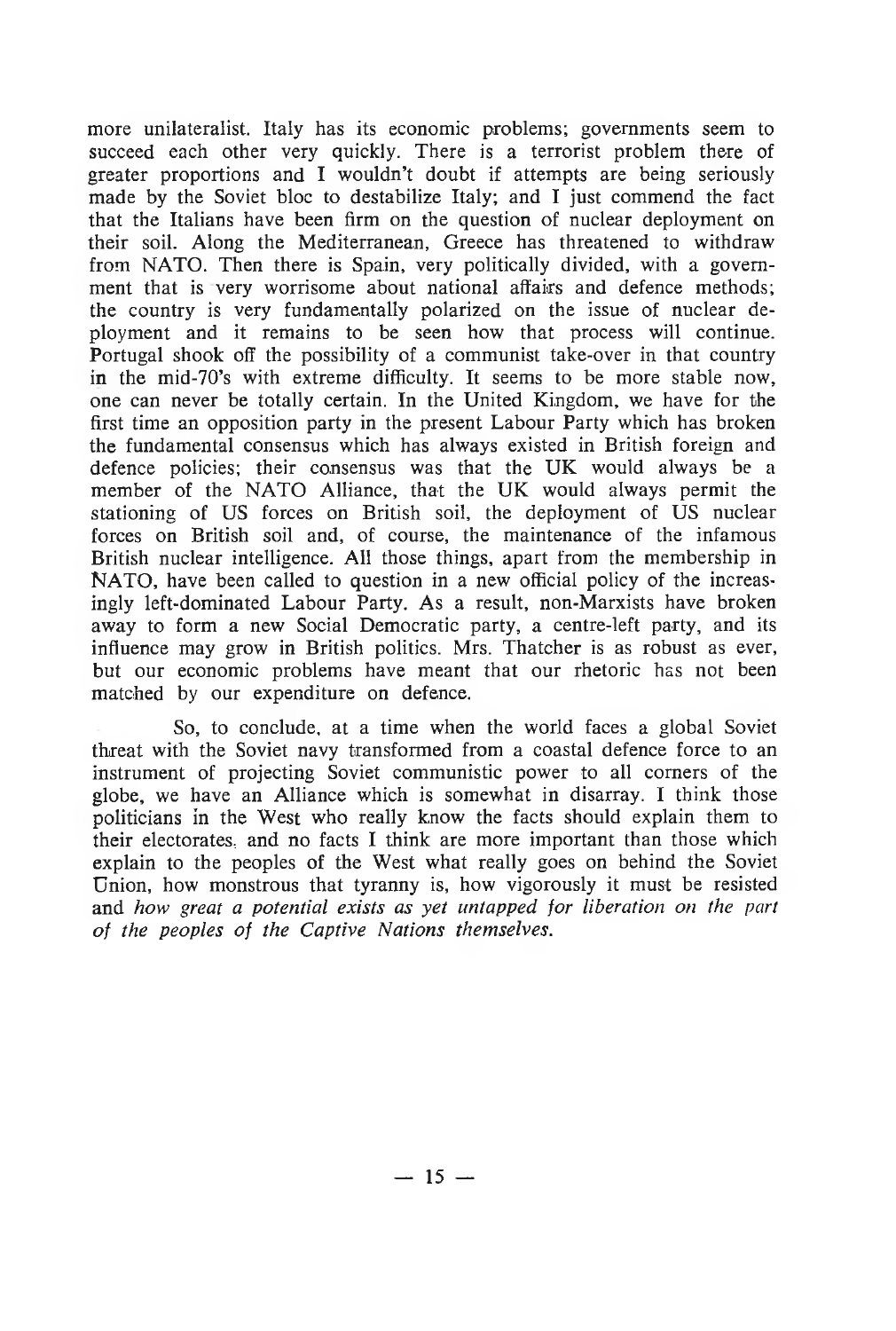more unilateralist. Italy has its economic problems; governments seem to succeed each other very quickly. There is a terrorist problem there of greater proportions and I wouldn't doubt if attempts are being seriously made by the Soviet bloc to destabilize Italy; and I just commend the fact that the Italians have been firm on the question of nuclear deployment on their soil. Along the Mediterranean, Greece has threatened to withdraw from NATO. Then there is Spain, very politically divided, with a government that is very worrisome about national affairs and defence methods; the country is very fundamentally polarized on the issue of nuclear deployment and it remains to be seen how that process will continue. Portugal shook off the possibility of a communist take-over in that country in the mid-70's with extreme difficulty. It seems to be more stable now, one can never be totally certain. In the United Kingdom, we have for the first time an opposition party in the present Labour Party which has broken the fundamental consensus which has always existed in British foreign and defence policies; their consensus was that the UK would always be a member of the NATO Alliance, that the UK would always permit the stationing of US forces on British soil, the deployment of US nuclear forces on British soil and, of course, the maintenance of the infamous British nuclear intelligence. All those things, apart from the membership in NATO, have been called to question in a new official policy of the increasingly left-dominated Labour Party. As a result, non-Marxists have broken away to form a new Social Democratic party, a centre-left party, and its influence may grow in British politics. Mrs. Thatcher is as robust as ever, but our economic problems have meant that our rhetoric has not been matched by our expenditure on defence.

So, to conclude, at a time when the world faces a global Soviet threat with the Soviet navy transformed from a coastal defence force to an instrument of projecting Soviet communistic power to all comers of the globe, we have an Alliance which is somewhat in disarray. I think those politicians in the West who really know the facts should explain them to their electorates, and no facts I think are more important than those which explain to the peoples of the West what really goes on behind the Soviet Union, how monstrous that tyranny is, how vigorously it must be resisted and *how great a potential exists as yet untapped, for liberation on the part of the peoples of the Captive Nations themselves.*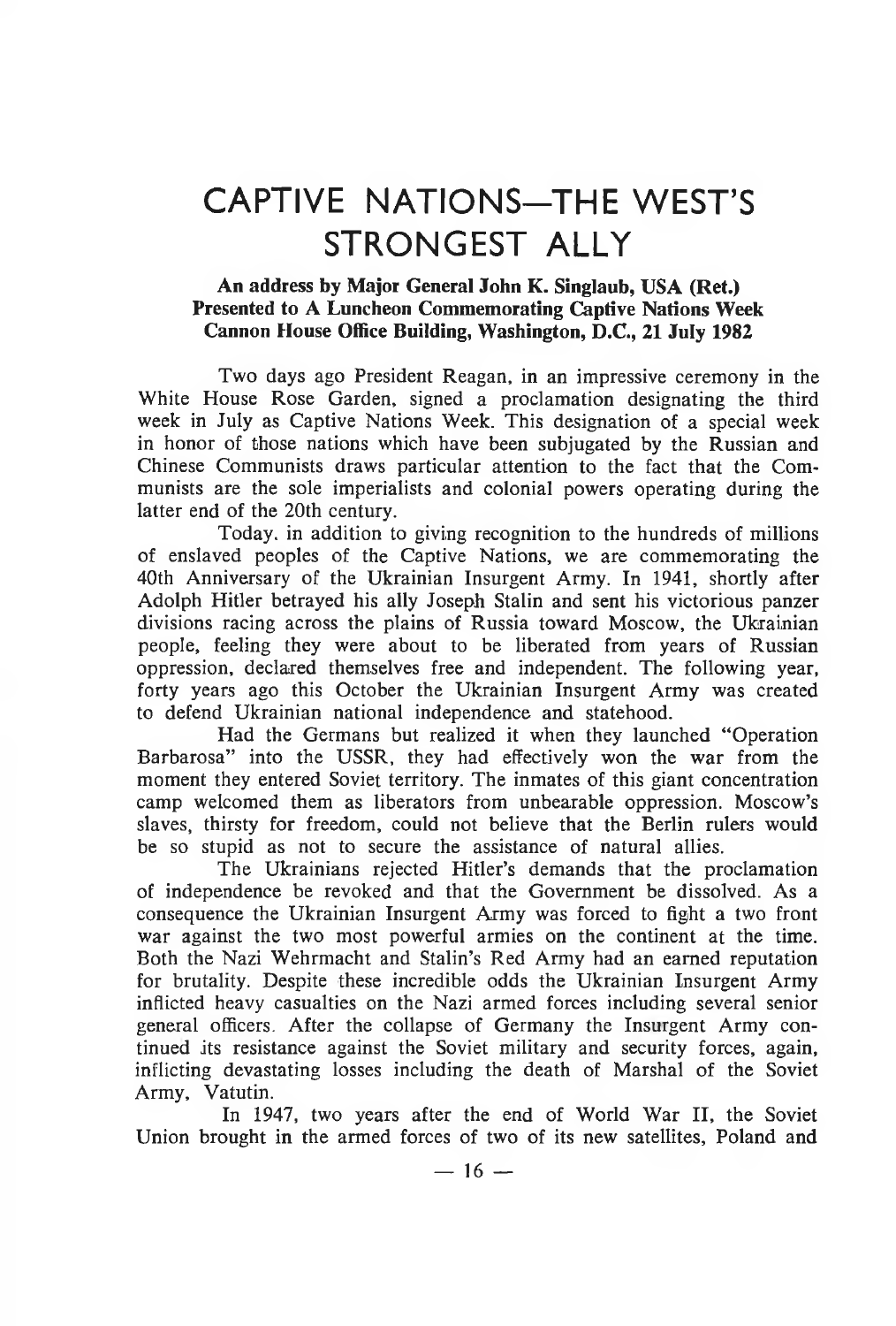## CAPTIVE NATIONS—THE WEST'S STRONGEST ALLY

#### **An address by Major General John K. Singlaub, USA (Ret.) Presented to A Luncheon Commemorating Captive Nations Week Cannon House Office Building, Washington, D.C., 21 July 1982**

Two days ago President Reagan, in an impressive ceremony in the White House Rose Garden, signed a proclamation designating the third week in July as Captive Nations Week. This designation of a special week in honor of those nations which have been subjugated by the Russian and Chinese Communists draws particular attention to the fact that the Communists are the sole imperialists and colonial powers operating during the latter end of the 20th century.

Today, in addition to giving recognition to the hundreds of millions of enslaved peoples of the Captive Nations, we are commemorating the 40th Anniversary of the Ukrainian Insurgent Army. In 1941, shortly after Adolph Hitler betrayed his ally Joseph Stalin and sent his victorious panzer divisions racing across the plains of Russia toward Moscow, the Ukrainian people, feeling they were about to be liberated from years of Russian oppression, declared themselves free and independent. The following year, forty years ago this October the Ukrainian Insurgent Army was created to defend Ukrainian national independence and statehood.

Had the Germans but realized it when they launched "Operation Barbarosa" into the USSR, they had effectively won the war from the moment they entered Soviet territory. The inmates of this giant concentration camp welcomed them as liberators from unbearable oppression. Moscow's slaves, thirsty for freedom, could not believe that the Berlin rulers would be so stupid as not to secure the assistance of natural allies.

The Ukrainians rejected Hitler's demands that the proclamation of independence be revoked and that the Government be dissolved. As a consequence the Ukrainian Insurgent Army was forced to fight a two front war against the two most powerful armies on the continent at the time. Both the Nazi Wehrmacht and Stalin's Red Army had an earned reputation for brutality. Despite these incredible odds the Ukrainian Insurgent Army inflicted heavy casualties on the Nazi armed forces including several senior general officers. After the collapse of Germany the Insurgent Army continued its resistance against the Soviet military and security forces, again, inflicting devastating losses including the death of Marshal of the Soviet Army, Vatutin.

In 1947, two years after the end of World War II, the Soviet Union brought in the armed forces of two of its new satellites, Poland and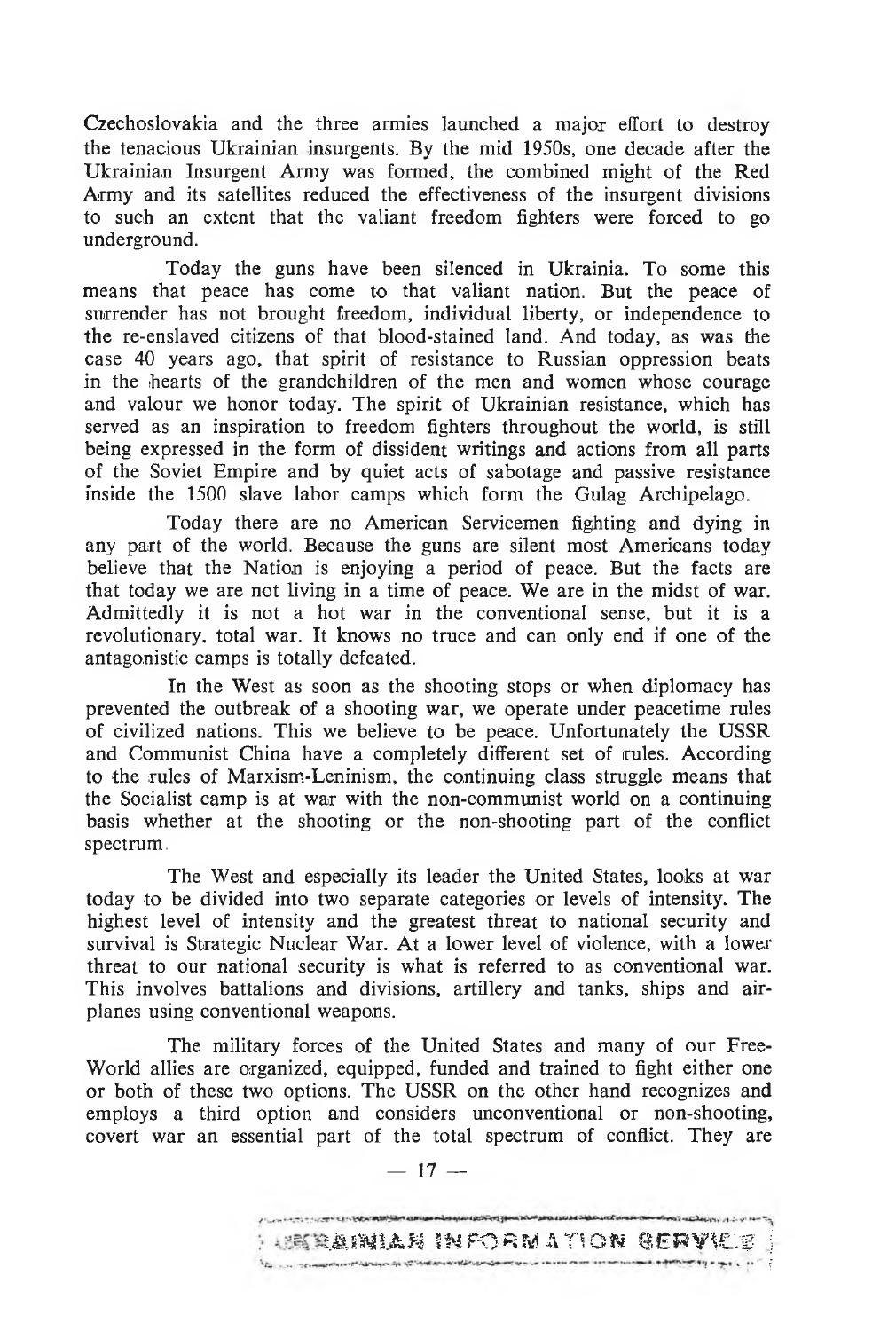Czechoslovakia and the three armies launched a major effort to destroy the tenacious Ukrainian insurgents. By the mid 1950s, one decade after the Ukrainian Insurgent Army was formed, the combined might of the Red Army and its satellites reduced the effectiveness of the insurgent divisions to such an extent that the valiant freedom fighters were forced to go underground.

Today the guns have been silenced in Ukrainia. To some this means that peace has come to that valiant nation. But the peace of surrender has not brought freedom, individual liberty, or independence to the re-enslaved citizens of that blood-stained land. And today, as was the case 40 years ago, that spirit of resistance to Russian oppression beats in the hearts of the grandchildren of the men and women whose courage and valour we honor today. The spirit of Ukrainian resistance, which has served as an inspiration to freedom fighters throughout the world, is still being expressed in the form of dissident writings and actions from all parts of the Soviet Empire and by quiet acts of sabotage and passive resistance inside the 1500 slave labor camps which form the Gulag Archipelago.

Today there are no American Servicemen fighting and dying in any part of the world. Because the guns are silent most Americans today believe that the Nation is enjoying a period of peace. But the facts are that today we are not living in a time of peace. We are in the midst of war. Admittedly it is not a hot war in the conventional sense, but it is a revolutionary, total war. It knows no truce and can only end if one of the antagonistic camps is totally defeated.

In the West as soon as the shooting stops or when diplomacy has prevented the outbreak of a shooting war, we operate under peacetime rules of civilized nations. This we believe to be peace. Unfortunately the USSR and Communist China have a completely different set of rules. According to the rules of Marxism-Leninism, the continuing class struggle means that the Socialist camp is at war with the non-communist world on a continuing basis whether at the shooting or the non-shooting part of the conflict spectrum.

The West and especially its leader the United States, looks at war today to be divided into two separate categories or levels of intensity. The highest level of intensity and the greatest threat to national security and survival is Strategic Nuclear War. At a lower level of violence, with a lower threat to our national security is what is referred to as conventional war. This involves battalions and divisions, artillery and tanks, ships and airplanes using conventional weapons.

The military forces of the United States and many of our Free-World allies are organized, equipped, funded and trained to fight either one or both of these two options. The USSR on the other hand recognizes and employs a third option and considers unconventional or non-shooting, covert war an essential part of the total spectrum of conflict. They are

*mm&m m rokm Arson* s e r v i c e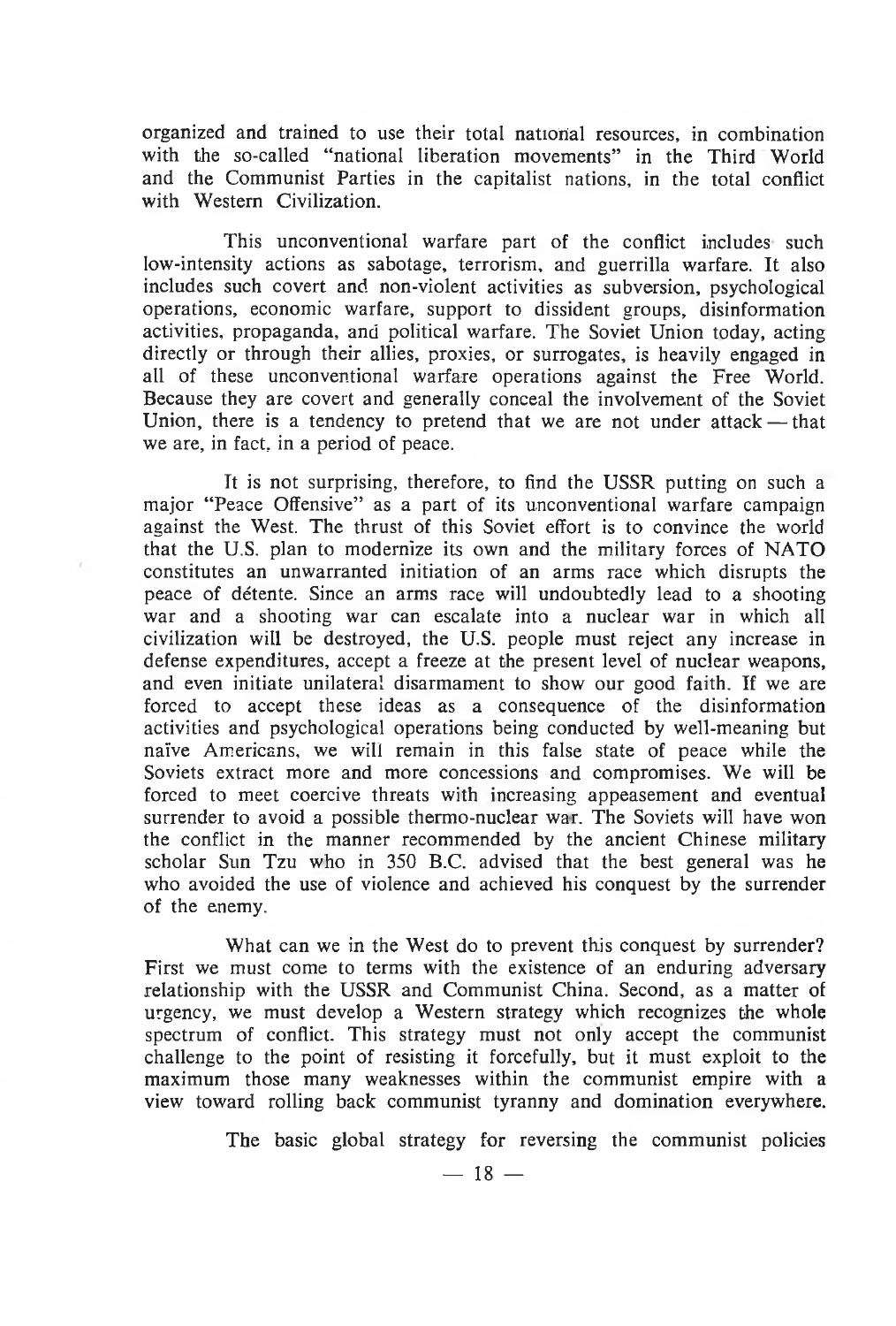organized and trained to use their total national resources, in combination with the so-called "national liberation movements" in the Third World and the Communist Parties in the capitalist nations, in the total conflict with Western Civilization.

This unconventional warfare part of the conflict includes such low-intensity actions as sabotage, terrorism, and guerrilla warfare. It also includes such covert and non-violent activities as subversion, psychological operations, economic warfare, support to dissident groups, disinformation activities, propaganda, and political warfare. The Soviet Union today, acting directly or through their allies, proxies, or surrogates, is heavily engaged in all of these unconventional warfare operations against the Free World. Because they are covert and generally conceal the involvement of the Soviet Union, there is a tendency to pretend that we are not under attack — that we are, in fact, in a period of peace.

It is not surprising, therefore, to find the USSR putting on such a major "Peace Offensive" as a part of its unconventional warfare campaign against the West. The thrust of this Soviet effort is to convince the world that the U.S. plan to modernize its own and the military forces of NATO constitutes an unwarranted initiation of an arms race which disrupts the peace of détente. Since an arms race will undoubtedly lead to a shooting war and a shooting war can escalate into a nuclear war in which all civilization will be destroyed, the U.S. people must reject any increase in defense expenditures, accept a freeze at the present level of nuclear weapons, and even initiate unilateral disarmament to show our good faith. If we are forced to accept these ideas as a consequence of the disinformation activities and psychological operations being conducted by well-meaning but naïve Americans, we will remain in this false state of peace while the Soviets extract more and more concessions and compromises. We will be forced to meet coercive threats with increasing appeasement and eventual surrender to avoid a possible thermo-nuclear war. The Soviets will have won the conflict in the manner recommended by the ancient Chinese military scholar Sun Tzu who in 350 B.C. advised that the best general was he who avoided the use of violence and achieved his conquest by the surrender of the enemy.

What can we in the West do to prevent this conquest by surrender? First we must come to terms with the existence of an enduring adversary relationship with the USSR and Communist China. Second, as a matter of urgency, we must develop a Western strategy which recognizes the whole spectrum of conflict. This strategy must not only accept the communist challenge to the point of resisting it forcefully, but it must exploit to the maximum those many weaknesses within the communist empire with a view toward rolling back communist tyranny and domination everywhere.

The basic global strategy for reversing the communist policies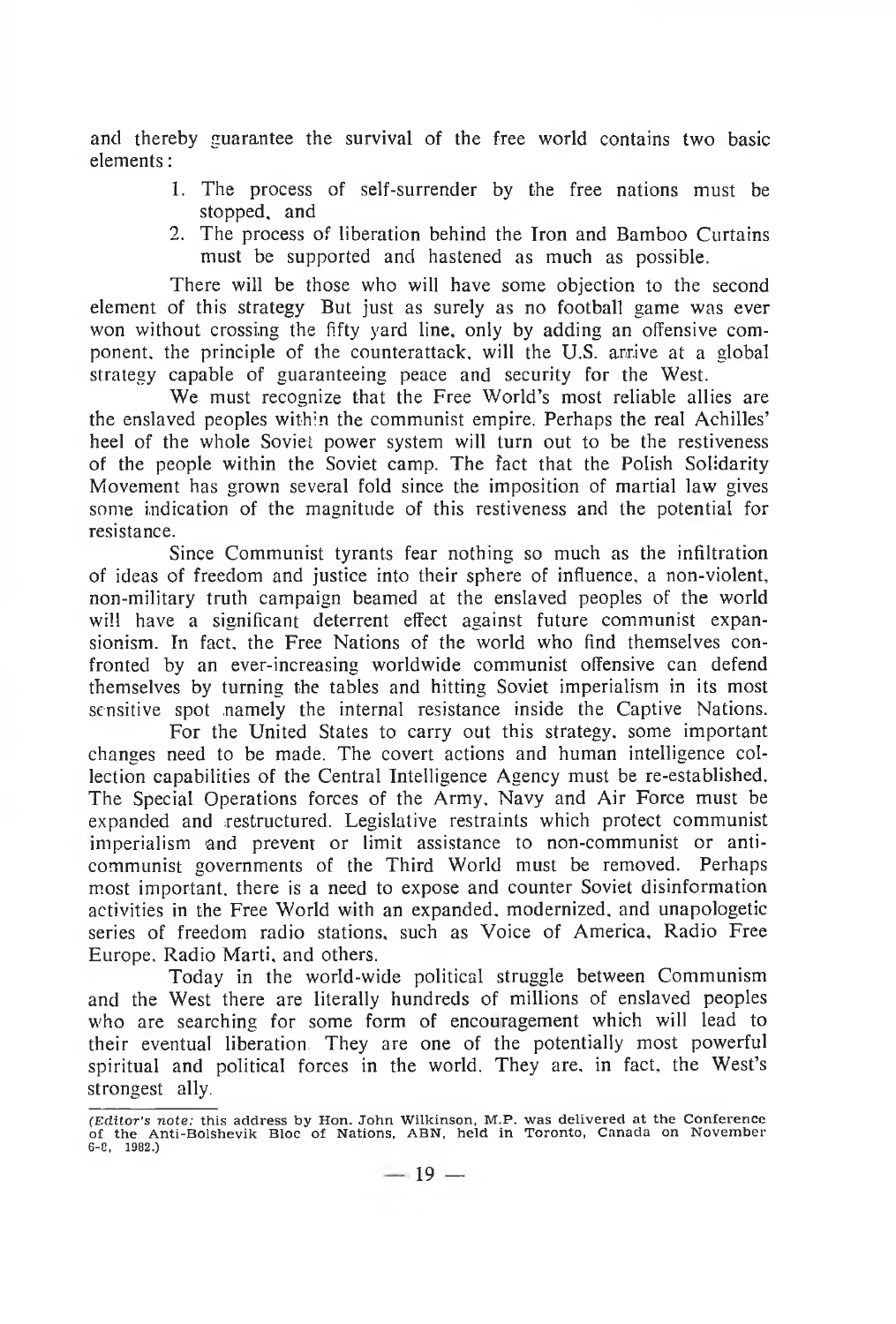and thereby guarantee the survival of the free world contains two basic elements:

- 1. The process of self-surrender by the free nations must be stopped, and
- 2. The process of liberation behind the Iron and Bamboo Curtains must be supported and hastened as much as possible.

There will be those who will have some objection to the second element of this strategy But just as surely as no football game was ever won without crossing the fifty yard line, only by adding an offensive component. the principle of the counterattack, will the U.S. arrive at a global strategy capable of guaranteeing peace and security for the West.

We must recognize that the Free World's most reliable allies are the enslaved peoples within the communist empire. Perhaps the real Achilles' heel of the whole Soviet power system will turn out to be the restiveness of the people within the Soviet camp. The fact that the Polish Solidarity Movement has grown several fold since the imposition of martial law gives some indication of the magnitude of this restiveness and the potential for resistance.

Since Communist tyrants fear nothing so much as the infiltration of ideas of freedom and justice into their sphere of influence, a non-violent, non-military truth campaign beamed at the enslaved peoples of the world will have a significant deterrent effect against future communist expansionism. In fact, the Free Nations of the world who find themselves confronted by an ever-increasing worldwide communist offensive can defend themselves by turning the tables and hitting Soviet imperialism in its most sensitive spot namely the internal resistance inside the Captive Nations.

For the United States to carry out this strategy, some important changes need to be made. The covert actions and human intelligence collection capabilities of the Central Intelligence Agency must be re-established. The Special Operations forces of the Army. Navy and Air Force must be expanded and restructured. Legislative restraints which protect communist imperialism and prevent or limit assistance to non-communist or anticommunist governments of the Third World must be removed. Perhaps most important, there is a need to expose and counter Soviet disinformation activities in the Free World with an expanded, modernized, and unapologetic series of freedom radio stations, such as Voice of America, Radio Free Europe, Radio Marti, and others.

Today in the world-wide political struggle between Communism and the West there are literally hundreds of millions of enslaved peoples who are searching for some form of encouragement which will lead to their eventual liberation They are one of the potentially most powerful spiritual and political forces in the world. They are, in fact, the West's strongest ally.

<sup>(</sup>Editor's note: this address by Hon. John Wilkinson, M.P. was delivered at the Conference<br>of the Anti-Bolshevik Bloc of Nations, ABN, held in Toronto, Canada on November<br>6-8, 1982.)